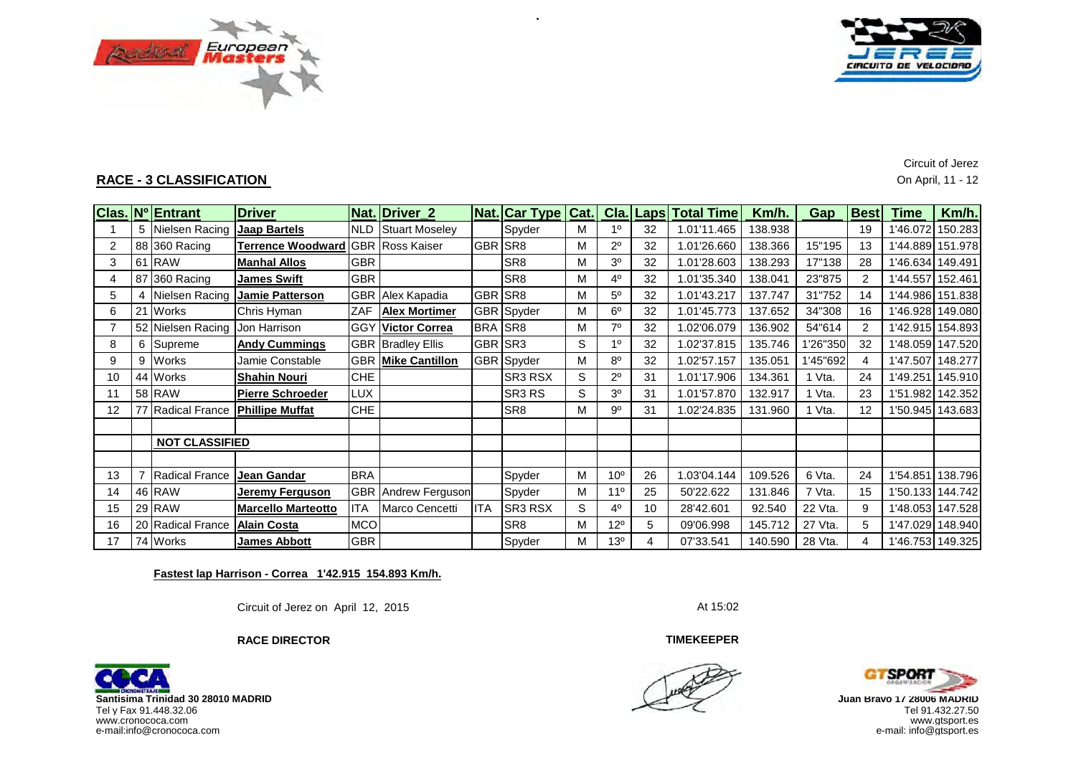



**RACE - 3 CLASSIFICATION** On April, 11 - 12

Circuit of Jerez

|                |    | Clas. Nº Entrant              | <b>Driver</b>                         |            | Nat. Driver 2              |            | <b>Nat. Car Type Cat.</b> |   |                 |    | <b>Cla. Laps Total Time</b> | Km/h.   | Gap      | <b>Best</b> | Time             | Km/h. |
|----------------|----|-------------------------------|---------------------------------------|------------|----------------------------|------------|---------------------------|---|-----------------|----|-----------------------------|---------|----------|-------------|------------------|-------|
|                |    | 5 Nielsen Racing Jaap Bartels |                                       |            | <b>NLD</b> Stuart Moseley  |            | Spyder                    | М | 1 <sup>0</sup>  | 32 | 1.01'11.465                 | 138.938 |          | 19          | 1'46.072 150.283 |       |
| 2              |    | 88 360 Racing                 | Terrence Woodward GBR Ross Kaiser     |            |                            | GBR.       | SR <sub>8</sub>           | М | $2^{\circ}$     | 32 | .01'26.660                  | 138.366 | 15"195   | 13          | 1'44.889 151.978 |       |
| 3              |    | 61 RAW                        | <b>Manhal Allos</b>                   | <b>GBR</b> |                            |            | SR <sub>8</sub>           | М | 3 <sup>o</sup>  | 32 | 1.01'28.603                 | 138.293 | 17"138   | 28          | 1'46.634 149.491 |       |
| 4              |    | 87 360 Racing                 | <b>James Swift</b>                    | <b>GBR</b> |                            |            | SR <sub>8</sub>           | M | $4^{\circ}$     | 32 | 1.01'35.340                 | 138.041 | 23"875   | 2           | 1'44.557 152.461 |       |
| 5              |    |                               | Nielsen Racing <b>Jamie Patterson</b> |            | <b>GBR</b> Alex Kapadia    | GBR SR8    |                           | М | $5^{\circ}$     | 32 | 1.01'43.217                 | 137.747 | 31"752   | 14          | 1'44.986 151.838 |       |
| 6              |    | <b>Works</b>                  | Chris Hyman                           | ZAF        | <b>Alex Mortimer</b>       |            | GBR Spyder                | М | $6^{\circ}$     | 32 | 1.01'45.773                 | 137.652 | 34"308   | 16          | 1'46.928 149.080 |       |
| $\overline{7}$ |    | 52 Nielsen Racing             | Jon Harrison                          | <b>GGY</b> | <b>Victor Correa</b>       | BRA SR8    |                           | М | 70              | 32 | 1.02'06.079                 | 136.902 | 54"614   | 2           | 1'42.915 154.893 |       |
| 8              | 6  | Supreme                       | <b>Andy Cummings</b>                  |            | <b>GBR Bradley Ellis</b>   | GBR SR3    |                           | S | 1 <sup>0</sup>  | 32 | 1.02'37.815                 | 135.746 | 1'26"350 | 32          | 1'48.059 147.520 |       |
| 9              | 9  | <b>Works</b>                  | Jamie Constable                       |            | <b>GBR Mike Cantillon</b>  |            | GBR Spyder                | М | $8^{\circ}$     | 32 | 1.02'57.157                 | 135.051 | 1'45"692 | 4           | 1'47.507 148.277 |       |
| 10             | 44 | <b>Works</b>                  | <b>Shahin Nouri</b>                   | <b>CHE</b> |                            |            | <b>SR3 RSX</b>            | S | $2^{\circ}$     | 31 | .01'17.906                  | 134.361 | ∣ Vta.   | 24          | 1'49.251 145.910 |       |
| 11             |    | 58 RAW                        | <b>Pierre Schroeder</b>               | <b>LUX</b> |                            |            | SR3 RS                    | S | 3 <sup>o</sup>  | 31 | .01'57.870                  | 132.917 | Vta.     | 23          | 1'51.982 142.352 |       |
| 12             |    | 77 Radical France             | <b>Phillipe Muffat</b>                | <b>CHE</b> |                            |            | SR <sub>8</sub>           | М | $9^{\circ}$     | 31 | .02'24.835                  | 131.960 | 1 Vta.   | 12          | 1'50.945 143.683 |       |
|                |    |                               |                                       |            |                            |            |                           |   |                 |    |                             |         |          |             |                  |       |
|                |    | <b>NOT CLASSIFIED</b>         |                                       |            |                            |            |                           |   |                 |    |                             |         |          |             |                  |       |
|                |    |                               |                                       |            |                            |            |                           |   |                 |    |                             |         |          |             |                  |       |
| 13             |    | Radical France                | <b>Jean Gandar</b>                    | <b>BRA</b> |                            |            | Spyder                    | M | 10 <sup>o</sup> | 26 | 1.03'04.144                 | 109.526 | 6 Vta.   | 24          | 1'54.851 138.796 |       |
| 14             |    | 46 RAW                        | Jeremy Ferguson                       |            | <b>GBR</b> Andrew Ferguson |            | Spyder                    | м | 11 <sup>0</sup> | 25 | 50'22.622                   | 131.846 | 7 Vta.   | 15          | 1'50.133 144.742 |       |
| 15             |    | 29 RAW                        | <b>Marcello Marteotto</b>             | <b>ITA</b> | Marco Cencetti             | <b>ITA</b> | SR3 RSX                   | S | $4^{\circ}$     | 10 | 28'42.601                   | 92.540  | 22 Vta.  | 9           | 1'48.053 147.528 |       |
| 16             |    | 20 Radical France             | <b>Alain Costa</b>                    | <b>MCO</b> |                            |            | SR <sub>8</sub>           | М | 12°             | 5  | 09'06.998                   | 145.712 | 27 Vta.  | 5           | 1'47.029 148.940 |       |
| 17             |    | 74 Works                      | <b>James Abbott</b>                   | <b>GBR</b> |                            |            | Spyder                    | М | 13 <sup>o</sup> |    | 07'33.541                   | 140.590 | 28 Vta.  | 4           | 1'46.753 149.325 |       |

**Fastest lap Harrison - Correa 1'42.915 154.893 Km/h.**

**RACE DIRECTOR**

Circuit of Jerez on April 12, 2015 At 15:02

**TIMEKEEPER**



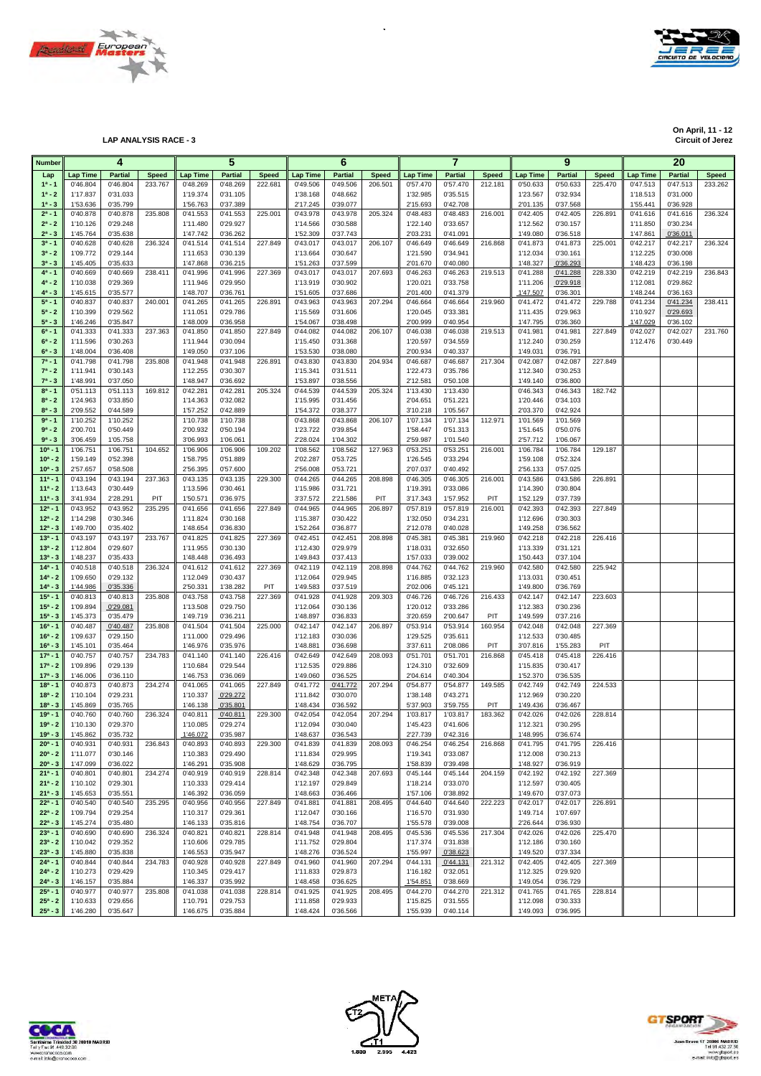



**LAP ANALYSIS RACE - 3** 

**On April, 11 - 12**

|                            | 5<br>4               |                            |                         |                             |                            | 6                       |                      |                            | $\overline{7}$          |                      |                            | 9                       |                             |                            | 20                      |                      |                            |                         |
|----------------------------|----------------------|----------------------------|-------------------------|-----------------------------|----------------------------|-------------------------|----------------------|----------------------------|-------------------------|----------------------|----------------------------|-------------------------|-----------------------------|----------------------------|-------------------------|----------------------|----------------------------|-------------------------|
| <b>Number</b>              |                      |                            |                         |                             |                            |                         |                      |                            |                         |                      |                            |                         |                             |                            |                         |                      |                            |                         |
| Lap<br>$1^a - 1$           | Lap Time<br>0'46.804 | <b>Partial</b><br>0'46.804 | <b>Speed</b><br>233.767 | <b>Lap Time</b><br>0'48.269 | <b>Partial</b><br>0'48.269 | <b>Speed</b><br>222.681 | Lap Time<br>0'49.506 | <b>Partial</b><br>0'49.506 | <b>Speed</b><br>206.501 | Lap Time<br>0'57.470 | <b>Partial</b><br>0'57.470 | <b>Speed</b><br>212.181 | <b>Lap Time</b><br>0'50.633 | <b>Partial</b><br>0'50.633 | <b>Speed</b><br>225.470 | Lap Time<br>0'47.513 | <b>Partial</b><br>0'47.513 | <b>Speed</b><br>233.262 |
| $1^a - 2$                  | 1'17.837             | 0'31.033                   |                         | 1'19.374                    | 0'31.105                   |                         | 1'38.168             | 0'48.662                   |                         | 1'32.985             | 0'35.515                   |                         | 1'23.567                    | 0'32.934                   |                         | 1'18.513             | 0'31.000                   |                         |
| $1^a - 3$                  | 1'53.636             | 0'35.799                   |                         | 1'56.763                    | 0'37.389                   |                         | 2'17.245             | 0'39.077                   |                         | 2'15.693             | 0'42.708                   |                         | 2'01.135                    | 0'37.568                   |                         | 1'55.441             | 0'36.928                   |                         |
| $2^a - 1$                  | 0'40.878             | 0'40.878                   | 235.808                 | 0'41.553                    | 0'41.553                   | 225.001                 | 0'43.978             | 0'43.978                   | 205.324                 | 0'48.483             | 0'48.483                   | 216.001                 | 0'42.405                    | 0'42.405                   | 226.891                 | 0'41.616             | 0'41.616                   | 236.324                 |
| $2^a - 2$                  | 1'10.126             | 0'29.248                   |                         | 1'11.480                    | 0'29.927                   |                         | 1'14.566             | 0'30.588                   |                         | 1'22.140             | 0'33.657                   |                         | 1'12.562                    | 0'30.157                   |                         | 1'11.850             | 0'30.234                   |                         |
| $2^a - 3$                  | 1'45.764             | 0'35.638                   |                         | 1'47.742                    | 0'36.262                   |                         | 1'52.309             | 0'37.743                   |                         | 2'03.231             | 0'41.091                   |                         | 1'49.080                    | 0'36.518                   |                         | 1'47.861             | 0'36.011                   |                         |
| $3^{a} - 1$<br>$3^a - 2$   | 0'40.628<br>1'09.772 | 0'40.628<br>0'29.144       | 236.324                 | 0'41.514<br>1'11.653        | 0'41.514<br>0'30.139       | 227.849                 | 0'43.017<br>1'13.664 | 0'43.017<br>0'30.647       | 206.107                 | 0'46.649<br>1'21.590 | 0'46.649<br>0'34.941       | 216.868                 | 0'41.873<br>1'12.034        | 0'41.873<br>0'30.161       | 225.001                 | 0'42.217<br>1'12.225 | 0'42.217<br>0'30.008       | 236.324                 |
| $3^{a} - 3$                | 1'45.405             | 0'35.633                   |                         | 1'47.868                    | 0'36.215                   |                         | 1'51.263             | 0'37.599                   |                         | 2'01.670             | 0'40.080                   |                         | 1'48.327                    | 0'36.293                   |                         | 1'48.423             | 0'36.198                   |                         |
| $4^a - 1$                  | 0'40.669             | 0'40.669                   | 238.411                 | 0'41.996                    | 0'41.996                   | 227.369                 | 0'43.017             | 0'43.017                   | 207.693                 | 0'46.263             | 0'46.263                   | 219.513                 | 0'41.288                    | 0'41.288                   | 228.330                 | 0'42.219             | 0'42.219                   | 236.843                 |
| $4^a - 2$                  | 1'10.038             | 0'29.369                   |                         | 1'11.946                    | 0'29.950                   |                         | 1'13.919             | 0'30.902                   |                         | 1'20.021             | 0'33.758                   |                         | 1'11.206                    | 0'29.918                   |                         | 1'12.081             | 0'29.862                   |                         |
| $4^a - 3$                  | 1'45.615             | 0'35.577                   |                         | 1'48.707                    | 0'36.761                   |                         | 1'51.605             | 0'37.686                   |                         | 2'01.400             | 0'41.379                   |                         | 1'47.507                    | 0'36.301                   |                         | 1'48.244             | 0'36.163                   |                         |
| $5^a - 1$                  | 0'40.837             | 0'40.837                   | 240.001                 | 0'41.265                    | 0'41.265                   | 226.891                 | 0'43.963             | 0'43.963                   | 207.294                 | 0'46.664             | 0'46.664                   | 219.960                 | 0'41.472                    | 0'41.472                   | 229.788                 | 0'41.234             | 0'41.234                   | 238.411                 |
| $5^a - 2$                  | 1'10.399             | 0'29.562                   |                         | 1'11.051                    | 0'29.786                   |                         | 1'15.569             | 0'31.606                   |                         | 1'20.045             | 0'33.381                   |                         | 1'11.435                    | 0'29.963                   |                         | 1'10.927             | 0'29.693                   |                         |
| $5^a - 3$<br>$6^a - 1$     | 1'46.246<br>0'41.333 | 0'35.847<br>0'41.333       | 237.363                 | 1'48.009<br>0'41.850        | 0'36.958<br>0'41.850       | 227.849                 | 1'54.067<br>0'44.082 | 0'38.498<br>0'44.082       | 206.107                 | 2'00.999<br>0'46.038 | 0'40.954<br>0'46.038       | 219.513                 | 1'47.795<br>0'41.981        | 0'36.360<br>0'41.981       | 227.849                 | 1'47.029<br>0'42.027 | 0'36.102<br>0'42.027       | 231.760                 |
| $6^a - 2$                  | 1'11.596             | 0'30.263                   |                         | 1'11.944                    | 0'30.094                   |                         | 1'15.450             | 0'31.368                   |                         | 1'20.597             | 0'34.559                   |                         | 1'12.240                    | 0'30.259                   |                         | 1'12.476             | 0'30.449                   |                         |
| $6^a - 3$                  | 1'48.004             | 0'36.408                   |                         | 1'49.050                    | 0'37.106                   |                         | 1'53.530             | 0'38.080                   |                         | 2'00.934             | 0'40.337                   |                         | 1'49.031                    | 0'36.791                   |                         |                      |                            |                         |
| $7^a - 1$                  | 0'41.798             | 0'41.798                   | 235.808                 | 0'41.948                    | 0'41.948                   | 226.891                 | 0'43.830             | 0'43.830                   | 204.934                 | 0'46.687             | 0'46.687                   | 217.304                 | 0'42.087                    | 0'42.087                   | 227.849                 |                      |                            |                         |
| $7^a - 2$                  | 1'11.941             | 0'30.143                   |                         | 1'12.255                    | 0'30.307                   |                         | 1'15.341             | 0'31.511                   |                         | 1'22.473             | 0'35.786                   |                         | 1'12.340                    | 0'30.253                   |                         |                      |                            |                         |
| $7^a - 3$                  | 1'48.991             | 0'37.050                   |                         | 1'48.947                    | 0'36.692                   |                         | 1'53.897             | 0'38.556                   |                         | 2'12.581             | 0'50.108                   |                         | 1'49.140                    | 0'36.800                   |                         |                      |                            |                         |
| $8^a - 1$                  | 0'51.113             | 0'51.113                   | 169.812                 | 0'42.281                    | 0'42.281                   | 205.324                 | 0'44.539             | 0'44.539                   | 205.324                 | 1'13.430             | 1'13.430                   |                         | 0'46.343                    | 0'46.343                   | 182.742                 |                      |                            |                         |
| $8^a - 2$                  | 1'24.963             | 0'33.850                   |                         | 1'14.363                    | 0'32.082                   |                         | 1'15.995             | 0'31.456                   |                         | 2'04.651             | 0'51.221                   |                         | 1'20.446                    | 0'34.103                   |                         |                      |                            |                         |
| $8^a - 3$<br>$9a - 1$      | 2'09.552             | 0'44.589                   |                         | 1'57.252                    | 0'42.889<br>1'10.738       |                         | 1'54.372             | 0'38.377                   | 206.107                 | 3'10.218             | 1'05.567                   | 112.971                 | 2'03.370                    | 0'42.924                   |                         |                      |                            |                         |
| $9^a - 2$                  | 1'10.252<br>2'00.701 | 1'10.252<br>0'50.449       |                         | 1'10.738<br>2'00.932        | 0'50.194                   |                         | 0'43.868<br>1'23.722 | 0'43.868<br>0'39.854       |                         | 1'07.134<br>1'58.447 | 1'07.134<br>0'51.313       |                         | 1'01.569<br>1'51.645        | 1'01.569<br>0'50.076       |                         |                      |                            |                         |
| $9a - 3$                   | 3'06.459             | 1'05.758                   |                         | 3'06.993                    | 1'06.061                   |                         | 2'28.024             | 1'04.302                   |                         | 2'59.987             | 1'01.540                   |                         | 2'57.712                    | 1'06.067                   |                         |                      |                            |                         |
| $10^{a} - 1$               | 1'06.751             | 1'06.751                   | 104.652                 | 1'06.906                    | 1'06.906                   | 109.202                 | 1'08.562             | 1'08.562                   | 127.963                 | 0'53.251             | 0'53.251                   | 216.001                 | 1'06.784                    | 1'06.784                   | 129.187                 |                      |                            |                         |
| $10^a - 2$                 | 1'59.149             | 0'52.398                   |                         | 1'58.795                    | 0'51.889                   |                         | 2'02.287             | 0'53.725                   |                         | 1'26.545             | 0'33.294                   |                         | 1'59.108                    | 0'52.324                   |                         |                      |                            |                         |
| $10^a - 3$                 | 2'57.657             | 0'58.508                   |                         | 2'56.395                    | 0'57.600                   |                         | 2'56.008             | 0'53.721                   |                         | 2'07.037             | 0'40.492                   |                         | 2'56.133                    | 0'57.025                   |                         |                      |                            |                         |
| $11a - 1$                  | 0'43.194             | 0'43.194                   | 237.363                 | 0'43.135                    | 0'43.135                   | 229.300                 | 0'44.265             | 0'44.265                   | 208.898                 | 0'46.305             | 0'46.305                   | 216.001                 | 0'43.586                    | 0'43.586                   | 226.891                 |                      |                            |                         |
| $11a - 2$                  | 1'13.643             | 0'30.449                   |                         | 1'13.596                    | 0'30.461                   |                         | 1'15.986             | 0'31.721                   |                         | 1'19.391             | 0'33.086                   |                         | 1'14.390                    | 0'30.804                   |                         |                      |                            |                         |
| $11a - 3$                  | 3'41.934             | 2'28.291                   | PIT                     | 1'50.571                    | 0'36.975                   |                         | 3'37.572             | 2'21.586                   | PIT                     | 3'17.343             | 1'57.952                   | PIT                     | 1'52.129                    | 0'37.739                   |                         |                      |                            |                         |
| $12^{a} - 1$<br>$12^a - 2$ | 0'43.952<br>1'14.298 | 0'43.952<br>0'30.346       | 235.295                 | 0'41.656<br>1'11.824        | 0'41.656<br>0'30.168       | 227.849                 | 0'44.965<br>1'15.387 | 0'44.965<br>0'30.422       | 206.897                 | 0'57.819<br>1'32.050 | 0'57.819<br>0'34.231       | 216.001                 | 0'42.393<br>1'12.696        | 0'42.393<br>0'30.303       | 227.849                 |                      |                            |                         |
| $12^a - 3$                 | 1'49.700             | 0'35.402                   |                         | 1'48.654                    | 0'36.830                   |                         | 1'52.264             | 0'36.877                   |                         | 2'12.078             | 0'40.028                   |                         | 1'49.258                    | 0'36.562                   |                         |                      |                            |                         |
| $13a - 1$                  | 0'43.197             | 0'43.197                   | 233.767                 | 0'41.825                    | 0'41.825                   | 227.369                 | 0'42.451             | 0'42.451                   | 208.898                 | 0'45.381             | 0'45.381                   | 219.960                 | 0'42.218                    | 0'42.218                   | 226.416                 |                      |                            |                         |
| $13^a - 2$                 | 1'12.804             | 0'29.607                   |                         | 1'11.955                    | 0'30.130                   |                         | 1'12.430             | 0'29.979                   |                         | 1'18.031             | 0'32.650                   |                         | 1'13.339                    | 0'31.121                   |                         |                      |                            |                         |
| $13^a - 3$                 | 1'48.237             | 0'35.433                   |                         | 1'48.448                    | 0'36.493                   |                         | 1'49.843             | 0'37.413                   |                         | 1'57.033             | 0'39.002                   |                         | 1'50.443                    | 0'37.104                   |                         |                      |                            |                         |
| $14a - 1$                  | 0'40.518             | 0'40.518                   | 236.324                 | 0'41.612                    | 0'41.612                   | 227.369                 | 0'42.119             | 0'42.119                   | 208.898                 | 0'44.762             | 0'44.762                   | 219.960                 | 0'42.580                    | 0'42.580                   | 225.942                 |                      |                            |                         |
| $14^a - 2$                 | 1'09.650             | 0'29.132                   |                         | 1'12.049                    | 0'30.437                   |                         | 1'12.064             | 0'29.945                   |                         | 1'16.885             | 0'32.123                   |                         | 1'13.031                    | 0'30.451                   |                         |                      |                            |                         |
| $14^a - 3$<br>$15^{a} - 1$ | 1'44.986             | 0'35.336                   | 235.808                 | 2'50.331                    | 1'38.282                   | PIT<br>227.369          | 1'49.583             | 0'37.519                   | 209.303                 | 2'02.006             | 0'45.121                   | 216.433                 | 1'49.800                    | 0'36.769                   | 223.603                 |                      |                            |                         |
| $15^a - 2$                 | 0'40.813<br>1'09.894 | 0'40.813<br>0'29.081       |                         | 0'43.758<br>1'13.508        | 0'43.758<br>0'29.750       |                         | 0'41.928<br>1'12.064 | 0'41.928<br>0'30.136       |                         | 0'46.726<br>1'20.012 | 0'46.726<br>0'33.286       |                         | 0'42.147<br>1'12.383        | 0'42.147<br>0'30.236       |                         |                      |                            |                         |
| $15^a - 3$                 | 1'45.373             | 0'35.479                   |                         | 1'49.719                    | 0'36.211                   |                         | 1'48.897             | 0'36.833                   |                         | 3'20.659             | 2'00.647                   | PIT                     | 1'49.599                    | 0'37.216                   |                         |                      |                            |                         |
| $16^a - 1$                 | 0'40.487             | 0'40.487                   | 235.808                 | 0'41.504                    | 0'41.504                   | 225.000                 | 0'42.147             | 0'42.147                   | 206.897                 | 0'53.914             | 0'53.914                   | 160.954                 | 0'42.048                    | 0'42.048                   | 227.369                 |                      |                            |                         |
| $16^a - 2$                 | 1'09.637             | 0'29.150                   |                         | 1'11.000                    | 0'29.496                   |                         | 1'12.183             | 0'30.036                   |                         | 1'29.525             | 0'35.611                   |                         | 1'12.533                    | 0'30.485                   |                         |                      |                            |                         |
| $16^a - 3$                 | 1'45.101             | 0'35.464                   |                         | 1'46.976                    | 0'35.976                   |                         | 1'48.881             | 0'36.698                   |                         | 3'37.611             | 2'08.086                   | PIT                     | 3'07.816                    | 1'55.283                   | <b>PIT</b>              |                      |                            |                         |
| $17a - 1$                  | 0'40.757             | 0'40.757                   | 234.783                 | 0'41.140                    | 0'41.140                   | 226.416                 | 0'42.649             | 0'42.649                   | 208.093                 | 0'51.701             | 0'51.701                   | 216.868                 | 0'45.418                    | 0'45.418                   | 226.416                 |                      |                            |                         |
| $17^a - 2$                 | 1'09.896             | 0'29.139                   |                         | 1'10.684                    | 0'29.544                   |                         | 1'12.535             | 0'29.886                   |                         | 1'24.310             | 0'32.609                   |                         | 1'15.835                    | 0'30.417                   |                         |                      |                            |                         |
| $17^a - 3$<br>$18a - 1$    | 1'46.006<br>0'40.873 | 0'36.110<br>0'40.873       | 234.274                 | 1'46.753<br>0'41.065        | 0'36.069<br>0'41.065       | 227.849                 | 1'49.060<br>0'41.772 | 0'36.525<br>0'41.772       | 207.294                 | 2'04.614<br>0'54.877 | 0'40.304<br>0'54.877       | 149.585                 | 1'52.370<br>0'42.749        | 0'36.535<br>0'42.749       | 224.533                 |                      |                            |                         |
| $18a - 2$                  | 1'10.104             | 0'29.231                   |                         | 1'10.337                    | 0'29.272                   |                         | 1'11.842             | 0'30.070                   |                         | 1'38.148             | 0'43.271                   |                         | 1'12.969                    | 0'30.220                   |                         |                      |                            |                         |
| $18a - 3$                  | 1'45.869             | 0'35.765                   |                         | 1'46.138                    | 0'35.801                   |                         | 1'48.434             | 0'36.592                   |                         | 5'37.903             | 3'59.755                   | PIT                     | 1'49.436                    | 0'36.467                   |                         |                      |                            |                         |
| $19a - 1$                  | 0'40.760             | 0'40.760                   | 236.324                 | 0'40.811                    | 0'40.811                   | 229.300                 | 0'42.054             | 0'42.054                   | 207.294                 | 1'03.817             | 1'03.817                   | 183.362                 | 0'42.026                    | 0'42.026                   | 228.814                 |                      |                            |                         |
| $19^a - 2$                 | 1'10.130             | 0'29.370                   |                         | 110.085                     | 029.274                    |                         | 112.094              | 0'30.040                   |                         | 1'45.423             | 0'41.606                   |                         | 1'12.321                    | 0.30.295                   |                         |                      |                            |                         |
| $19a - 3$                  | 1'45.862             | 0'35.732                   |                         | 1'46.072                    | 0'35.987                   |                         | 1'48.637             | 0'36.543                   |                         | 2'27.739             | 0'42.316                   |                         | 1'48.995                    | 0'36.674                   |                         |                      |                            |                         |
| $20^a - 1$<br>$20^a - 2$   | 0'40.931<br>1'11.077 | 0'40.931<br>0'30.146       | 236.843                 | 0'40.893<br>1'10.383        | 0'40.893<br>0'29.490       | 229.300                 | 0'41.839<br>1'11.834 | 0'41.839<br>0'29.995       | 208.093                 | 0'46.254<br>1'19.341 | 0'46.254<br>0'33.087       | 216.868                 | 0'41.795<br>1'12.008        | 0'41.795<br>0'30.213       | 226.416                 |                      |                            |                         |
| $20^a - 3$                 | 1'47.099             | 0'36.022                   |                         | 1'46.291                    | 0'35.908                   |                         | 1'48.629             | 0'36.795                   |                         | 1'58.839             | 0'39.498                   |                         | 1'48.927                    | 0'36.919                   |                         |                      |                            |                         |
| $21^a - 1$                 | 0'40.801             | 0'40.801                   | 234.274                 | 0'40.919                    | 0'40.919                   | 228.814                 | 0'42.348             | 0'42.348                   | 207.693                 | 0'45.144             | 0'45.144                   | 204.159                 | 0'42.192                    | 0'42.192                   | 227.369                 |                      |                            |                         |
| $21^a - 2$                 | 1'10.102             | 0'29.301                   |                         | 1'10.333                    | 0'29.414                   |                         | 1'12.197             | 0'29.849                   |                         | 1'18.214             | 0'33.070                   |                         | 1'12.597                    | 0'30.405                   |                         |                      |                            |                         |
| $21^a - 3$                 | 1'45.653             | 0'35.551                   |                         | 1'46.392                    | 0'36.059                   |                         | 1'48.663             | 0'36.466                   |                         | 1'57.106             | 0'38.892                   |                         | 1'49.670                    | 0'37.073                   |                         |                      |                            |                         |
| $22^a - 1$                 | 0'40.540             | 0'40.540                   | 235.295                 | 0'40.956                    | 0'40.956                   | 227.849                 | 0'41.881             | 0'41.881                   | 208.495                 | 0'44.640             | 0'44.640                   | 222.223                 | 0'42.017                    | 0'42.017                   | 226.891                 |                      |                            |                         |
| $22^a - 2$                 | 1'09.794             | 0'29.254                   |                         | 1'10.317                    | 0'29.361                   |                         | 1'12.047             | 0'30.166                   |                         | 1'16.570             | 0'31.930                   |                         | 1'49.714                    | 1'07.697                   |                         |                      |                            |                         |
| $22^a - 3$                 | 1'45.274             | 0'35.480                   |                         | 1'46.133                    | 0'35.816                   |                         | 1'48.754             | 0'36.707                   |                         | 1'55.578             | 0'39.008                   |                         | 2'26.644                    | 0'36.930                   |                         |                      |                            |                         |
| $23a - 1$<br>$23^a - 2$    | 0'40.690<br>1'10.042 | 0'40.690<br>0'29.352       | 236.324                 | 0'40.821<br>1'10.606        | 0'40.821<br>0'29.785       | 228.814                 | 0'41.948<br>1'11.752 | 0'41.948<br>0'29.804       | 208.495                 | 0'45.536<br>1'17.374 | 0'45.536<br>0'31.838       | 217.304                 | 0'42.026<br>1'12.186        | 0'42.026<br>0'30.160       | 225.470                 |                      |                            |                         |
| $23^a - 3$                 | 1'45.880             | 0'35.838                   |                         | 1'46.553                    | 0'35.947                   |                         | 1'48.276             | 0'36.524                   |                         | 1'55.997             | 0'38.623                   |                         | 1'49.520                    | 0'37.334                   |                         |                      |                            |                         |
| $24^a - 1$                 | 0'40.844             | 0'40.844                   | 234.783                 | 0'40.928                    | 0'40.928                   | 227.849                 | 0'41.960             | 0'41.960                   | 207.294                 | 0'44.131             | 0'44.131                   | 221.312                 | 0'42.405                    | 0'42.405                   | 227.369                 |                      |                            |                         |
| $24^a - 2$                 | 1'10.273             | 0'29.429                   |                         | 1'10.345                    | 0'29.417                   |                         | 1'11.833             | 0'29.873                   |                         | 1'16.182             | 0'32.051                   |                         | 1'12.325                    | 0'29.920                   |                         |                      |                            |                         |
| $24^a - 3$                 | 1'46.157             | 0'35.884                   |                         | 1'46.337                    | 0'35.992                   |                         | 1'48.458             | 0'36.625                   |                         | 1'54.851             | 0'38.669                   |                         | 1'49.054                    | 0'36.729                   |                         |                      |                            |                         |
| $25^a - 1$                 | 0'40.977             | 0'40.977                   | 235.808                 | 0'41.038                    | 0'41.038                   | 228.814                 | 0'41.925             | 0'41.925                   | 208.495                 | 0'44.270             | 0'44.270                   | 221.312                 | 0'41.765                    | 0'41.765                   | 228.814                 |                      |                            |                         |
| $25^a - 2$                 | 1'10.633             | 0'29.656                   |                         | 1'10.791                    | 0'29.753                   |                         | 1'11.858             | 0'29.933                   |                         | 1'15.825             | 0'31.555                   |                         | 1'12.098                    | 0'30.333                   |                         |                      |                            |                         |
| $25^a - 3$                 | 1'46.280             | 0'35.647                   |                         | 1'46.675                    | 0'35.884                   |                         | 1'48.424             | 0'36.566                   |                         | 1'55.939             | 0'40.114                   |                         | 1'49.093                    | 0'36.995                   |                         |                      |                            |                         |

 $\ddot{\phantom{a}}$ 





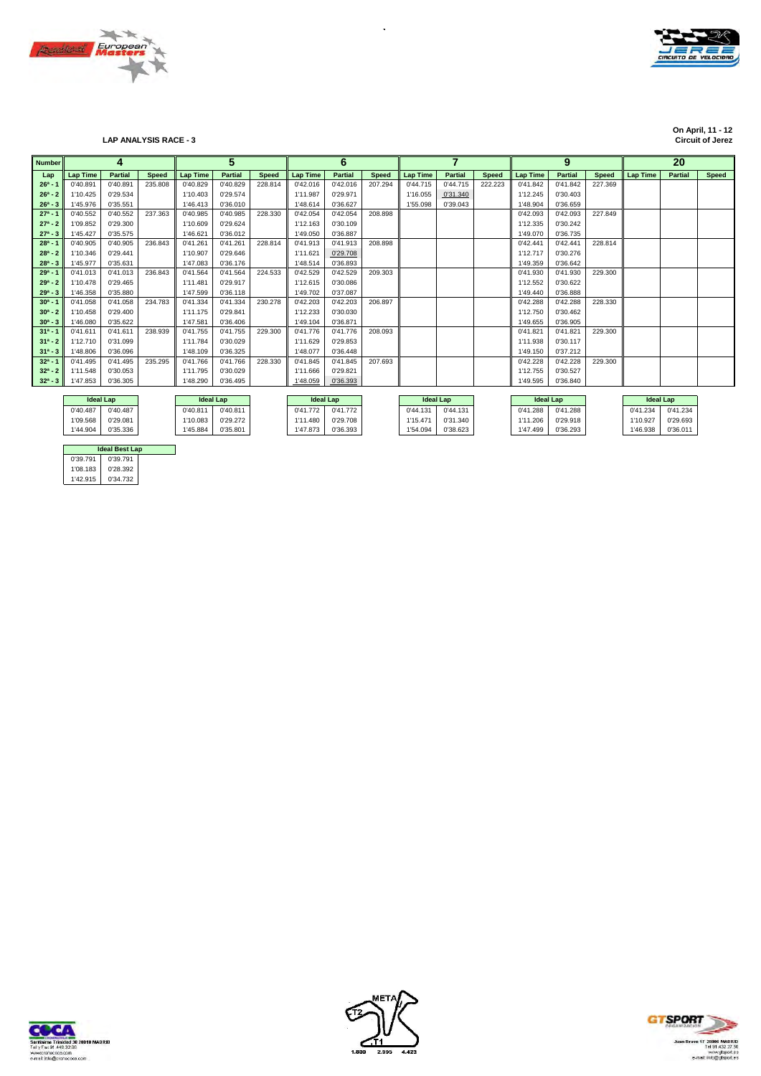



## **LAP ANALYSIS RACE - 3**

**On April, 11 - 12**

| <b>Number</b> |                  | 4              |              |                  | 5              |              |                  | 6              |              |                  |                |              |                  | 9              |              |                  | 20             |              |
|---------------|------------------|----------------|--------------|------------------|----------------|--------------|------------------|----------------|--------------|------------------|----------------|--------------|------------------|----------------|--------------|------------------|----------------|--------------|
| Lap           | <b>Lap Time</b>  | <b>Partial</b> | <b>Speed</b> | <b>Lap Time</b>  | <b>Partial</b> | <b>Speed</b> | <b>Lap Time</b>  | <b>Partial</b> | <b>Speed</b> | <b>Lap Time</b>  | <b>Partial</b> | <b>Speed</b> | <b>Lap Time</b>  | <b>Partial</b> | <b>Speed</b> | <b>Lap Time</b>  | <b>Partial</b> | <b>Speed</b> |
| $26^a - 1$    | 0'40.891         | 0'40.891       | 235.808      | 0'40.829         | 0'40.829       | 228.814      | 0'42.016         | 0'42.016       | 207.294      | 0'44.715         | 0'44.715       | 222.223      | 0'41.842         | 0'41.842       | 227.369      |                  |                |              |
| $26^a - 2$    | 1'10.425         | 0'29.534       |              | 1'10.403         | 0'29.574       |              | 1'11.987         | 0'29.971       |              | 1'16.055         | 0'31.340       |              | 1'12.245         | 0'30.403       |              |                  |                |              |
| $26^a - 3$    | 1'45.976         | 0'35.551       |              | 1'46.413         | 0'36.010       |              | 1'48.614         | 0'36.627       |              | 1'55.098         | 0'39.043       |              | 1'48.904         | 0'36.659       |              |                  |                |              |
| $27^a - 1$    | 0'40.552         | 0'40.552       | 237.363      | 0'40.985         | 0'40.985       | 228,330      | 0'42.054         | 0'42.054       | 208.898      |                  |                |              | 0'42.093         | 0'42.093       | 227.849      |                  |                |              |
| $27^a - 2$    | 1'09.852         | 0'29.300       |              | 1'10.609         | 0'29.624       |              | 1'12.163         | 0'30.109       |              |                  |                |              | 1'12.335         | 0'30.242       |              |                  |                |              |
| $27^a - 3$    | 1'45.427         | 0'35.575       |              | 1'46.621         | 0'36.012       |              | 1'49.050         | 0'36.887       |              |                  |                |              | 1'49.070         | 0'36.735       |              |                  |                |              |
| $28a - 1$     | 0'40.905         | 0'40.905       | 236.843      | 0'41.261         | 0'41.261       | 228.814      | 0'41.913         | 0'41.913       | 208.898      |                  |                |              | 0'42.441         | 0'42.441       | 228.814      |                  |                |              |
| $28^a - 2$    | 1'10.346         | 0'29.441       |              | 1'10.907         | 0'29.646       |              | 1'11.621         | 0'29.708       |              |                  |                |              | 1'12.717         | 0'30.276       |              |                  |                |              |
| $28^a - 3$    | 1'45.977         | 0'35.631       |              | 1'47.083         | 0'36.176       |              | 1'48.514         | 0'36.893       |              |                  |                |              | 1'49.359         | 0'36.642       |              |                  |                |              |
| $29a - 1$     | 0'41.013         | 0'41.013       | 236.843      | 0'41.564         | 0'41.564       | 224.533      | 0'42.529         | 0'42.529       | 209.303      |                  |                |              | 0'41.930         | 0'41.930       | 229,300      |                  |                |              |
| $29a - 2$     | 1'10.478         | 0'29.465       |              | 1'11.481         | 0'29.917       |              | 1'12.615         | 0'30.086       |              |                  |                |              | 1'12.552         | 0'30.622       |              |                  |                |              |
| $29a - 3$     | 1'46.358         | 0'35.880       |              | 1'47.599         | 0'36.118       |              | 1'49.702         | 0'37.087       |              |                  |                |              | 1'49.440         | 0'36.888       |              |                  |                |              |
| $30^a - 1$    | 0'41.058         | 0'41.058       | 234.783      | 0'41.334         | 0'41.334       | 230.278      | 0'42.203         | 0'42.203       | 206.897      |                  |                |              | 0'42.288         | 0'42.288       | 228,330      |                  |                |              |
| $30^a - 2$    | 1'10.458         | 0'29.400       |              | 1'11.175         | 0'29.841       |              | 1'12.233         | 0'30.030       |              |                  |                |              | 1'12.750         | 0'30.462       |              |                  |                |              |
| $30^a - 3$    | 1'46.080         | 0'35.622       |              | 1'47.581         | 0'36.406       |              | 1'49.104         | 0'36.871       |              |                  |                |              | 1'49.655         | 0'36.905       |              |                  |                |              |
| $31a - 1$     | 0'41.611         | 0'41.611       | 238.939      | 0'41.755         | 0'41.755       | 229,300      | 0'41.776         | 0'41.776       | 208.093      |                  |                |              | 0'41.821         | 0'41.821       | 229,300      |                  |                |              |
| $31^a - 2$    | 1'12.710         | 0'31.099       |              | 1'11.784         | 0'30.029       |              | 1'11.629         | 0'29.853       |              |                  |                |              | 1'11.938         | 0'30.117       |              |                  |                |              |
| $31^a - 3$    | 1'48.806         | 0'36.096       |              | 1'48.109         | 0'36.325       |              | 1'48.077         | 0'36.448       |              |                  |                |              | 1'49.150         | 0'37.212       |              |                  |                |              |
| $32^a - 1$    | 0'41.495         | 0'41.495       | 235.295      | 0'41.766         | 0'41.766       | 228,330      | 0'41.845         | 0'41.845       | 207.693      |                  |                |              | 0'42.228         | 0'42.228       | 229,300      |                  |                |              |
| $32^a - 2$    | 1'11.548         | 0'30.053       |              | 1'11.795         | 0'30.029       |              | 1'11.666         | 0'29.821       |              |                  |                |              | 1'12.755         | 0'30.527       |              |                  |                |              |
| $32^a - 3$    | 1'47.853         | 0'36.305       |              | 1'48.290         | 0'36.495       |              | 1'48.059         | 0'36.393       |              |                  |                |              | 1'49.595         | 0'36,840       |              |                  |                |              |
|               |                  |                |              |                  |                |              |                  |                |              |                  |                |              |                  |                |              |                  |                |              |
|               | <b>Ideal Lap</b> |                |              | <b>Ideal Lap</b> |                |              | <b>Ideal Lap</b> |                |              | <b>Ideal Lap</b> |                |              | <b>Ideal Lap</b> |                |              | <b>Ideal Lap</b> |                |              |
|               | 0'40.487         | 0'40.487       |              | 0'40.811         | 0'40.811       |              | 0'41.772         | 0'41.772       |              | 0'44.131         | 0'44.131       |              | 0'41.288         | 0'41.288       |              | 0'41.234         | 0'41.234       |              |
|               | 1'09.568         | 0'29.081       |              | 1'10.083         | 0'29.272       |              | 1'11.480         | 0'29.708       |              | 1'15.471         | 0'31.340       |              | 1'11.206         | 0'29.918       |              | 1'10.927         | 0'29.693       |              |
|               | 1'44.904         | 0'35.336       |              | 1'45.884         | 0'35.801       |              | 1'47.873         | 0'36.393       |              | 1'54.094         | 0'38.623       |              | 1'47.499         | 0'36.293       |              | 1'46.938         | 0'36.011       |              |

 $\hat{\mathcal{A}}$ 

|          | <b>Ideal Best Lap</b> |  |
|----------|-----------------------|--|
| 0'39.791 | 0'39.791              |  |
| 1'08.183 | 0'28.392              |  |
| 1'42.915 | 0'34.732              |  |





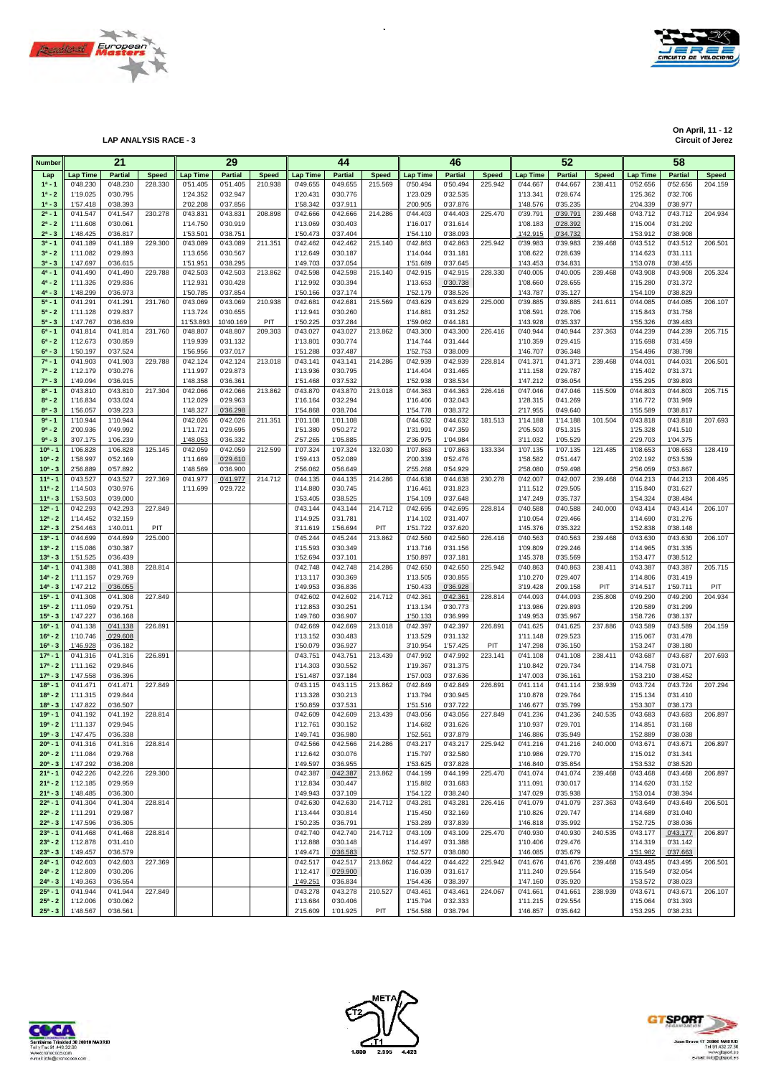



**On April, 11 - 12 On April, 11 - 12 Circuit of Jerez LAP ANALYSIS RACE - 3 Circuit of Jerez**

| <b>Number</b>            |                      | 21                   |              |                      | 29                   |              |                      | 44                   |              |                      | 46                   |              |                      | 52                   |                |                      | 58                   |                |
|--------------------------|----------------------|----------------------|--------------|----------------------|----------------------|--------------|----------------------|----------------------|--------------|----------------------|----------------------|--------------|----------------------|----------------------|----------------|----------------------|----------------------|----------------|
|                          | <b>Lap Time</b>      | <b>Partial</b>       | <b>Speed</b> | <b>Lap Time</b>      | <b>Partial</b>       | <b>Speed</b> | <b>Lap Time</b>      | <b>Partial</b>       | <b>Speed</b> | Lap Time             | <b>Partial</b>       | <b>Speed</b> | <b>Lap Time</b>      | <b>Partial</b>       | <b>Speed</b>   | Lap Time             | <b>Partial</b>       | <b>Speed</b>   |
| Lap<br>$1^a - 1$         | 0'48.230             | 0'48.230             | 228.330      | 0'51.405             | 0'51.405             | 210.938      | 0'49.655             | 0'49.655             | 215.569      | 0'50.494             | 0'50.494             | 225.942      | 0'44.667             | 0'44.667             | 238.411        | 0'52.656             | 0'52.656             | 204.159        |
| $1^a - 2$                | 1'19.025             | 0'30.795             |              | 1'24.352             | 0'32.947             |              | 1'20.431             | 0'30.776             |              | 1'23.029             | 0'32.535             |              | 1'13.341             | 0'28.674             |                | 1'25.362             | 0'32.706             |                |
| $1^a - 3$                | 1'57.418             | 0'38.393             |              | 2'02.208             | 0'37.856             |              | 1'58.342             | 0'37.911             |              | 2'00.905             | 0'37.876             |              | 1'48.576             | 0'35.235             |                | 2'04.339             | 0'38.977             |                |
| $2^a - 1$                | 0'41.547             | 0'41.547             | 230.278      | 0'43.831             | 0'43.831             | 208.898      | 0'42.666             | 0'42.666             | 214.286      | 0'44.403             | 0'44.403             | 225.470      | 0'39.791             | 0'39.791             | 239.468        | 0'43.712             | 0'43.712             | 204.934        |
| $2^a - 2$                | 1'11.608             | 0'30.061             |              | 1'14.750             | 0'30.919             |              | 1'13.069             | 0'30.403             |              | 1'16.017             | 0'31.614             |              | 1'08.183             | 0'28.392             |                | 1'15.004             | 0'31.292             |                |
| $2^a - 3$                | 1'48.425             | 0'36.817             |              | 1'53.501             | 0'38.751             |              | 1'50.473             | 0'37.404             |              | 1'54.110             | 0'38.093             |              | 1'42.915             | 0'34.732             |                | 1'53.912             | 0'38.908             |                |
| $3^a - 1$                | 0'41.189             | 0'41.189             | 229.300      | 0'43.089             | 0'43.089             | 211.351      | 0'42.462             | 0'42.462             | 215.140      | 0'42.863             | 0'42.863             | 225.942      | 0'39.983             | 0'39.983             | 239.468        | 0'43.512             | 0'43.512             | 206.501        |
| $3^a - 2$                | 1'11.082             | 0'29.893             |              | 1'13.656             | 0'30.567             |              | 1'12.649             | 0'30.187             |              | 1'14.044             | 0'31.181             |              | 1'08.622             | 0'28.639             |                | 1'14.623             | 0'31.111             |                |
| $3^a - 3$                | 1'47.697             | 0'36.615             |              | 1'51.951             | 0'38.295             |              | 1'49.703             | 0'37.054             |              | 1'51.689             | 0'37.645             |              | 1'43.453             | 0'34.831             |                | 1'53.078             | 0'38.455             |                |
| $4^a - 1$<br>$4^a - 2$   | 0'41.490<br>1'11.326 | 0'41.490<br>0'29.836 | 229.788      | 0'42.503<br>1'12.931 | 0'42.503<br>0'30.428 | 213.862      | 0'42.598<br>1'12.992 | 0'42.598<br>0'30.394 | 215.140      | 0'42.915<br>1'13.653 | 0'42.915<br>0'30.738 | 228.330      | 0'40.005<br>1'08.660 | 0'40.005<br>0'28.655 | 239.468        | 0'43.908<br>1'15.280 | 0'43.908<br>0'31.372 | 205.324        |
| $4^a - 3$                | 1'48.299             | 0'36.973             |              | 1'50.785             | 0'37.854             |              | 1'50.166             | 0'37.174             |              | 1'52.179             | 0'38.526             |              | 1'43.787             | 0'35.127             |                | 1'54.109             | 0'38.829             |                |
| $5^a - 1$                | 0'41.291             | 0'41.291             | 231.760      | 0'43.069             | 0'43.069             | 210.938      | 0'42.681             | 0'42.681             | 215.569      | 0'43.629             | 0'43.629             | 225.000      | 0'39.885             | 0'39.885             | 241.611        | 0'44.085             | 0'44.085             | 206.107        |
| $5^a - 2$                | 1'11.128             | 0'29.837             |              | 1'13.724             | 0'30.655             |              | 1'12.941             | 0'30.260             |              | 1'14.881             | 0'31.252             |              | 1'08.591             | 0'28.706             |                | 1'15.843             | 0'31.758             |                |
| $5^a - 3$                | 1'47.767             | 0'36.639             |              | 11'53.893            | 10'40.169            | PIT          | 1'50.225             | 0'37.284             |              | 1'59.062             | 0'44.181             |              | 1'43.928             | 0'35.337             |                | 1'55.326             | 0'39.483             |                |
| $6^a - 1$                | 0'41.814             | 0'41.814             | 231.760      | 0'48.807             | 0'48.807             | 209.303      | 0'43.027             | 0'43.027             | 213.862      | 0'43.300             | 0'43.300             | 226.416      | 0'40.944             | 0'40.944             | 237.363        | 0'44.239             | 0'44.239             | 205.715        |
| $6^a - 2$                | 1'12.673             | 0'30.859             |              | 1'19.939             | 0'31.132             |              | 1'13.801             | 0'30.774             |              | 1'14.744             | 0'31.444             |              | 1'10.359             | 0'29.415             |                | 1'15.698             | 0'31.459             |                |
| $6^a - 3$                | 1'50.197             | 0'37.524             |              | 1'56.956             | 0'37.017             |              | 1'51.288             | 0'37.487             |              | 1'52.753             | 0'38.009             |              | 1'46.707             | 0'36.348             |                | 1'54.496             | 0'38.798             |                |
| $7^a - 1$                | 0'41.903             | 0'41.903             | 229.788      | 0'42.124             | 0'42.124             | 213.018      | 0'43.141             | 0'43.141             | 214.286      | 0'42.939             | 0'42.939             | 228.814      | 0'41.371             | 0'41.371             | 239.468        | 0'44.031             | 0'44.031             | 206.501        |
| $7^a - 2$<br>$7^a - 3$   | 1'12.179             | 0'30.276             |              | 1'11.997<br>1'48.358 | 0'29.873             |              | 1'13.936<br>1'51.468 | 0'30.795             |              | 1'14.404<br>1'52.938 | 0'31.465             |              | 1'11.158<br>1'47.212 | 0'29.787             |                | 1'15.402<br>1'55.295 | 0'31.371             |                |
| $8^a - 1$                | 1'49.094<br>0'43.810 | 0'36.915<br>0'43.810 | 217.304      | 0'42.066             | 0'36.361<br>0'42.066 | 213.862      | 0'43.870             | 0'37.532<br>0'43.870 | 213.018      | 0'44.363             | 0'38.534<br>0'44.363 | 226.416      | 0'47.046             | 0'36.054<br>0'47.046 | 115.509        | 0'44.803             | 0'39.893<br>0'44.803 | 205.715        |
| $8^a - 2$                | 1'16.834             | 0'33.024             |              | 1'12.029             | 0'29.963             |              | 1'16.164             | 0'32.294             |              | 1'16.406             | 0'32.043             |              | 1'28.315             | 0'41.269             |                | 1'16.772             | 0'31.969             |                |
| $8^a - 3$                | 1'56.057             | 0'39.223             |              | 1'48.327             | 0'36.298             |              | 1'54.868             | 0'38.704             |              | 1'54.778             | 0'38.372             |              | 2'17.955             | 0'49.640             |                | 1'55.589             | 0'38.817             |                |
| $9a - 1$                 | 1'10.944             | 1'10.944             |              | 0'42.026             | 0'42.026             | 211.351      | 1'01.108             | 1'01.108             |              | 0'44.632             | 0'44.632             | 181.513      | 1'14.188             | 1'14.188             | 101.504        | 0'43.818             | 0'43.818             | 207.693        |
| $9^a - 2$                | 2'00.936             | 0'49.992             |              | 1'11.721             | 0'29.695             |              | 1'51.380             | 0'50.272             |              | 1'31.991             | 0'47.359             |              | 2'05.503             | 0'51.315             |                | 1'25.328             | 0'41.510             |                |
| $9^a - 3$                | 3'07.175             | 1'06.239             |              | 1'48.053             | 0'36.332             |              | 2'57.265             | 1'05.885             |              | 2'36.975             | 1'04.984             |              | 3'11.032             | 1'05.529             |                | 2'29.703             | 1'04.375             |                |
| $10a - 1$                | 1'06.828             | 1'06.828             | 125.145      | 0'42.059             | 0'42.059             | 212.599      | 1'07.324             | 1'07.324             | 132.030      | 1'07.863             | 1'07.863             | 133.334      | 1'07.135             | 1'07.135             | 121.485        | 1'08.653             | 1'08.653             | 128.419        |
| $10^a - 2$               | 1'58.997             | 0'52.169             |              | 1'11.669             | 0'29.610             |              | 1'59.413             | 0'52.089             |              | 2'00.339             | 0'52.476             |              | 1'58.582             | 0'51.447             |                | 2'02.192             | 0'53.539             |                |
| $10^a - 3$               | 2'56.889             | 0'57.892             |              | 1'48.569             | 0'36.900             |              | 2'56.062             | 0'56.649             |              | 2'55.268             | 0'54.929             |              | 2'58.080             | 0'59.498             |                | 2'56.059             | 0'53.867             |                |
| $11a - 1$<br>$11a - 2$   | 0'43.527<br>1'14.503 | 0'43.527<br>0'30.976 | 227.369      | 0'41.977<br>1'11.699 | 0'41.977             | 214.712      | 0'44.135             | 0'44.135<br>0'30.745 | 214.286      | 0'44.638             | 0'44.638             | 230.278      | 0'42.007             | 0'42.007<br>0'29.505 | 239.468        | 0'44.213<br>1'15.840 | 0'44.213<br>0'31.627 | 208.495        |
| $11a - 3$                | 1'53.503             | 0'39.000             |              |                      | 0'29.722             |              | 1'14.880<br>1'53.405 | 0'38.525             |              | 1'16.461<br>1'54.109 | 0'31.823<br>0'37.648 |              | 1'11.512<br>1'47.249 | 0'35.737             |                | 1'54.324             | 0'38.484             |                |
| $12^a - 1$               | 0'42.293             | 0'42.293             | 227.849      |                      |                      |              | 0'43.144             | 0'43.144             | 214.712      | 0'42.695             | 0'42.695             | 228.814      | 0'40.588             | 0'40.588             | 240.000        | 0'43.414             | 0'43.414             | 206.107        |
| $12^a - 2$               | 1'14.452             | 0'32.159             |              |                      |                      |              | 1'14.925             | 0'31.781             |              | 1'14.102             | 0'31.407             |              | 1'10.054             | 0'29.466             |                | 1'14.690             | 0'31.276             |                |
| $12^a - 3$               | 2'54.463             | 1'40.011             | PIT          |                      |                      |              | 3'11.619             | 1'56.694             | PIT          | 1'51.722             | 0'37.620             |              | 1'45.376             | 0'35.322             |                | 1'52.838             | 0'38.148             |                |
| $13a - 1$                | 0'44.699             | 0'44.699             | 225.000      |                      |                      |              | 0'45.244             | 0'45.244             | 213.862      | 0'42.560             | 0'42.560             | 226.416      | 0'40.563             | 0'40.563             | 239.468        | 0'43.630             | 0'43.630             | 206.107        |
| $13^a - 2$               | 1'15.086             | 0'30.387             |              |                      |                      |              | 1'15.593             | 0'30.349             |              | 1'13.716             | 0'31.156             |              | 1'09.809             | 0'29.246             |                | 1'14.965             | 0'31.335             |                |
| $13^{a} - 3$             | 1'51.525             | 0'36.439             |              |                      |                      |              | 1'52.694             | 0'37.101             |              | 1'50.897             | 0'37.181             |              | 1'45.378             | 0'35.569             |                | 1'53.477             | 0'38.512             |                |
| $14a - 1$                | 0'41.388             | 0'41.388             | 228.814      |                      |                      |              | 0'42.748             | 0'42.748             | 214.286      | 0'42.650             | 0'42.650             | 225.942      | 0'40.863             | 0'40.863             | 238.411        | 0'43.387             | 0'43.387             | 205.715        |
| $14a - 2$                | 1'11.157             | 0'29.769             |              |                      |                      |              | 1'13.117             | 0'30.369             |              | 1'13.505             | 0'30.855             |              | 1'10.270             | 0'29.407             |                | 1'14.806             | 0'31.419             |                |
| $14^a - 3$<br>$15a - 1$  | 1'47.212<br>0'41.308 | 0'36.055<br>0'41.308 | 227.849      |                      |                      |              | 1'49.953<br>0'42.602 | 0'36.836<br>0'42.602 | 214.712      | 1'50.433<br>0'42.361 | 0'36.928<br>0'42.361 | 228.814      | 3'19.428<br>0'44.093 | 2'09.158<br>0'44.093 | PIT<br>235.808 | 3'14.517<br>0'49.290 | 1'59.711<br>0'49.290 | PIT<br>204.934 |
| $15^a - 2$               | 1'11.059             | 0'29.751             |              |                      |                      |              | 1'12.853             | 0'30.251             |              | 1'13.134             | 0'30.773             |              | 1'13.986             | 0'29.893             |                | 1'20.589             | 0'31.299             |                |
| $15^a - 3$               | 1'47.227             | 0'36.168             |              |                      |                      |              | 1'49.760             | 0'36.907             |              | 1'50.133             | 0'36.999             |              | 1'49.953             | 0'35.967             |                | 1'58.726             | 0'38.137             |                |
| $16a - 1$                | 0'41.138             | 0'41.138             | 226.891      |                      |                      |              | 0'42.669             | 0'42.669             | 213.018      | 0'42.397             | 0'42.397             | 226.891      | 0'41.625             | 0'41.625             | 237.886        | 0'43.589             | 0'43.589             | 204.159        |
| $16^a - 2$               | 1'10.746             | 0'29.608             |              |                      |                      |              | 1'13.152             | 0'30.483             |              | 1'13.529             | 0'31.132             |              | 1'11.148             | 0'29.523             |                | 1'15.067             | 0'31.478             |                |
| $16^a - 3$               | 1'46.928             | 0'36.182             |              |                      |                      |              | 1'50.079             | 0'36.927             |              | 3'10.954             | 1'57.425             | PIT          | 1'47.298             | 0'36.150             |                | 1'53.247             | 0'38.180             |                |
| $17a - 1$                | 0'41.316             | 0'41.316             | 226.891      |                      |                      |              | 0'43.751             | 0'43.751             | 213.439      | 0'47.992             | 0'47.992             | 223.141      | 0'41.108             | 0'41.108             | 238.411        | 0'43.687             | 0'43.687             | 207.693        |
| $17a - 2$                | 1'11.162             | 0'29.846             |              |                      |                      |              | 1'14.303             | 0'30.552             |              | 1'19.367             | 0'31.375             |              | 1'10.842             | 0'29.734             |                | 1'14.758             | 0'31.071             |                |
| $17^a - 3$               | 1'47.558             | 0'36.396             |              |                      |                      |              | 1'51.487             | 0'37.184             |              | 1'57.003             | 0'37.636             |              | 1'47.003             | 0'36.161             |                | 1'53.210             | 0'38.452             |                |
| $18a - 1$<br>$18a - 2$   | 0'41.471<br>1'11.315 | 0'41.471<br>0'29.844 | 227.849      |                      |                      |              | 0'43.115<br>1'13.328 | 0'43.115<br>0'30.213 | 213.862      | 0'42.849<br>1'13.794 | 0'42.849<br>0'30.945 | 226.891      | 0'41.114<br>1'10.878 | 0'41.114<br>0'29.764 | 238.939        | 0'43.724<br>1'15.134 | 0'43.724<br>0'31.410 | 207.294        |
| $18a - 3$                | 1'47.822             | 0'36.507             |              |                      |                      |              | 1'50.859             | 0'37.531             |              | 1'51.516             | 0'37.722             |              | 1'46.677             | 0'35.799             |                | 1'53.307             | 0'38.173             |                |
| $19a - 1$                | 0'41.192             | 0'41.192             | 228.814      |                      |                      |              | 0'42.609             | 0'42.609             | 213.439      | 0'43.056             | 0'43.056             | 227.849      | 0'41.236             | 0'41.236             | 240.535        | 0'43.683             | 0'43.683             | 206.897        |
| $19^a - 2$               | 1'11.137             | 0'29.945             |              |                      |                      |              | 1'12.761             | 0'30.152             |              | 1'14.682             | 0'31.626             |              | 1'10.937             | 0'29.701             |                | 1'14.851             | 0'31.168             |                |
| $19a - 3$                | 1'47.475             | 0'36.338             |              |                      |                      |              | 1'49.741             | 0'36.980             |              | 1'52.561             | 0'37.879             |              | 1'46.886             | 0'35.949             |                | 1'52.889             | 0'38.038             |                |
| $20^a - 1$               | 0'41.316             | 0'41.316             | 228.814      |                      |                      |              | 0'42.566             | 0'42.566             | 214.286      | 0'43.217             | 0'43.217             | 225.942      | 0'41.216             | 0'41.216             | 240.000        | 0'43.671             | 0'43.671             | 206.897        |
| $20^a - 2$               | 1'11.084             | 0'29.768             |              |                      |                      |              | 1'12.642             | 0'30.076             |              | 1'15.797             | 0'32.580             |              | 1'10.986             | 0'29.770             |                | 1'15.012             | 0'31.341             |                |
| $20^a - 3$               | 1'47.292             | 0'36.208             |              |                      |                      |              | 1'49.597             | 0'36.955             |              | 1'53.625             | 0'37.828             |              | 1'46.840             | 0'35.854             |                | 1'53.532             | 0'38.520             |                |
| $21^a - 1$               | 0'42.226             | 0'42.226             | 229.300      |                      |                      |              | 0'42.387             | 0'42.387             | 213.862      | 0'44.199             | 0'44.199             | 225.470      | 0'41.074             | 0'41.074             | 239.468        | 0'43.468             | 0'43.468             | 206.897        |
| $21^a - 2$<br>$21^a - 3$ | 1'12.185             | 0'29.959<br>0'36.300 |              |                      |                      |              | 1'12.834<br>1'49.943 | 0'30.447<br>0'37.109 |              | 1'15.882<br>1'54.122 | 0'31.683<br>0'38.240 |              | 1'11.091<br>1'47.029 | 0'30.017<br>0'35.938 |                | 1'14.620<br>1'53.014 | 0'31.152<br>0'38.394 |                |
| $22^a - 1$               | 1'48.485<br>0'41.304 | 0'41.304             | 228.814      |                      |                      |              | 0'42.630             | 0'42.630             | 214.712      | 0'43.281             | 0'43.281             | 226.416      | 0'41.079             | 0'41.079             | 237.363        | 0'43.649             | 0'43.649             | 206.501        |
| $22^a - 2$               | 1'11.291             | 0'29.987             |              |                      |                      |              | 1'13.444             | 0'30.814             |              | 1'15.450             | 0'32.169             |              | 1'10.826             | 0'29.747             |                | 1'14.689             | 0'31.040             |                |
| $22^a - 3$               | 1'47.596             | 0'36.305             |              |                      |                      |              | 1'50.235             | 0'36.791             |              | 1'53.289             | 0'37.839             |              | 1'46.818             | 0'35.992             |                | 1'52.725             | 0'38.036             |                |
| $23a - 1$                | 0'41.468             | 0'41.468             | 228.814      |                      |                      |              | 0'42.740             | 0'42.740             | 214.712      | 0'43.109             | 0'43.109             | 225.470      | 0'40.930             | 0'40.930             | 240.535        | 0'43.177             | 0'43.177             | 206.897        |
| $23^a - 2$               | 1'12.878             | 0'31.410             |              |                      |                      |              | 1'12.888             | 0'30.148             |              | 1'14.497             | 0'31.388             |              | 1'10.406             | 0'29.476             |                | 1'14.319             | 0'31.142             |                |
| $23^a - 3$               | 1'49.457             | 0'36.579             |              |                      |                      |              | 1'49.471             | 0'36.583             |              | 1'52.577             | 0'38.080             |              | 1'46.085             | 0'35.679             |                | 1'51.982             | 0'37.663             |                |
| $24^a - 1$               | 0'42.603             | 0'42.603             | 227.369      |                      |                      |              | 0'42.517             | 0'42.517             | 213.862      | 0'44.422             | 0'44.422             | 225.942      | 0'41.676             | 0'41.676             | 239.468        | 0'43.495             | 0'43.495             | 206.501        |
| $24^a - 2$               | 1'12.809             | 0'30.206             |              |                      |                      |              | 1'12.417             | 0'29.900             |              | 1'16.039             | 0'31.617             |              | 1'11.240             | 0'29.564             |                | 1'15.549             | 0'32.054             |                |
| $24^a - 3$               | 1'49.363             | 0'36.554             |              |                      |                      |              | 1'49.251             | 0'36.834             |              | 1'54.436             | 0'38.397             |              | 1'47.160             | 0'35.920             |                | 1'53.572             | 0'38.023             |                |
| $25^a - 1$<br>$25^a - 2$ | 0'41.944<br>1'12.006 | 0'41.944<br>0'30.062 | 227.849      |                      |                      |              | 0'43.278<br>1'13.684 | 0'43.278<br>0'30.406 | 210.527      | 0'43.461<br>1'15.794 | 0'43.461<br>0'32.333 | 224.067      | 0'41.661<br>1'11.215 | 0'41.661<br>0'29.554 | 238.939        | 0'43.671<br>1'15.064 | 0'43.671<br>0'31.393 | 206.107        |
| $25^a - 3$               | 1'48.567             | 0'36.561             |              |                      |                      |              | 2'15.609             | 1'01.925             | PIT          | 1'54.588             | 0'38.794             |              | 1'46.857             | 0'35.642             |                | 1'53.295             | 0'38.231             |                |

 $\ddot{\phantom{0}}$ 





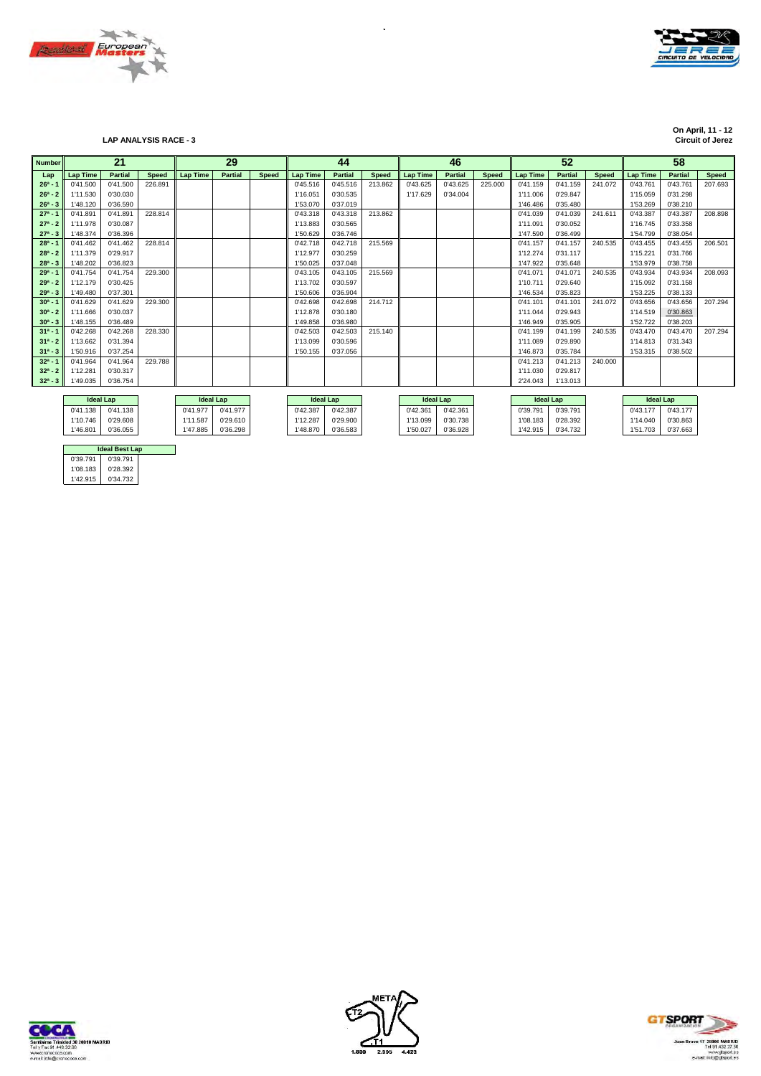



**On April, 11 - 12 On April, 11 - 12 Circuit of Jerez LAP ANALYSIS RACE - 3 Circuit of Jerez**

| <b>Number</b> |                 | 21               |              |                 | 29               |              |                  | 44             |              |                 | 46               |              |                  | 52             |              |                  | 58             |              |
|---------------|-----------------|------------------|--------------|-----------------|------------------|--------------|------------------|----------------|--------------|-----------------|------------------|--------------|------------------|----------------|--------------|------------------|----------------|--------------|
| Lap           | <b>Lap Time</b> | <b>Partial</b>   | <b>Speed</b> | <b>Lap Time</b> | <b>Partial</b>   | <b>Speed</b> | <b>Lap Time</b>  | <b>Partial</b> | <b>Speed</b> | <b>Lap Time</b> | <b>Partial</b>   | <b>Speed</b> | <b>Lap Time</b>  | <b>Partial</b> | <b>Speed</b> | <b>Lap Time</b>  | <b>Partial</b> | <b>Speed</b> |
| $26^a - 1$    | 0'41.500        | 0'41.500         | 226.891      |                 |                  |              | 0'45.516         | 0'45.516       | 213.862      | 0'43.625        | 0'43.625         | 225.000      | 0'41.159         | 0'41.159       | 241.072      | 0'43.761         | 0'43.761       | 207.693      |
| $26^a - 2$    | 1'11.530        | 0'30.030         |              |                 |                  |              | 1'16.051         | 0'30.535       |              | 1'17.629        | 0'34.004         |              | 1'11.006         | 0'29.847       |              | 1'15.059         | 0'31.298       |              |
| $26^a - 3$    | 1'48.120        | 0'36.590         |              |                 |                  |              | 1'53.070         | 0'37.019       |              |                 |                  |              | 1'46.486         | 0'35.480       |              | 1'53.269         | 0'38.210       |              |
| $27a - 1$     | 0'41.891        | 0'41.891         | 228.814      |                 |                  |              | 0'43.318         | 0'43.318       | 213.862      |                 |                  |              | 0'41.039         | 0'41.039       | 241.611      | 0'43.387         | 0'43.387       | 208.898      |
| $27^a - 2$    | 1'11.978        | 0'30.087         |              |                 |                  |              | 1'13.883         | 0'30.565       |              |                 |                  |              | 1'11.091         | 0'30.052       |              | 1'16.745         | 0'33.358       |              |
| $27^a - 3$    | 1'48.374        | 0'36.396         |              |                 |                  |              | 1'50.629         | 0'36.746       |              |                 |                  |              | 1'47.590         | 0'36.499       |              | 1'54.799         | 0'38.054       |              |
| $28a - 1$     | 0'41.462        | 0'41.462         | 228.814      |                 |                  |              | 0'42.718         | 0'42.718       | 215.569      |                 |                  |              | 0'41.157         | 0'41.157       | 240.535      | 0'43.455         | 0'43.455       | 206.501      |
| $28^a - 2$    | 1'11.379        | 0'29.917         |              |                 |                  |              | 1'12.977         | 0'30.259       |              |                 |                  |              | 1'12.274         | 0'31.117       |              | 1'15.221         | 0'31.766       |              |
| $28^a - 3$    | 1'48.202        | 0'36.823         |              |                 |                  |              | 1'50.025         | 0'37.048       |              |                 |                  |              | 1'47.922         | 0'35.648       |              | 1'53.979         | 0'38.758       |              |
| $29a - 1$     | 0'41.754        | 0'41.754         | 229,300      |                 |                  |              | 0'43.105         | 0'43.105       | 215.569      |                 |                  |              | 0'41.071         | 0'41.071       | 240.535      | 0'43.934         | 0'43.934       | 208.093      |
| $29a - 2$     | 1'12.179        | 0'30.425         |              |                 |                  |              | 1'13.702         | 0'30.597       |              |                 |                  |              | 1'10.711         | 0'29.640       |              | 1'15.092         | 0'31.158       |              |
| $29a - 3$     | 1'49.480        | 0'37.301         |              |                 |                  |              | 1'50.606         | 0'36.904       |              |                 |                  |              | 1'46.534         | 0'35.823       |              | 1'53.225         | 0'38.133       |              |
| $30^a - 1$    | 0'41.629        | 0'41.629         | 229,300      |                 |                  |              | 0'42.698         | 0'42.698       | 214.712      |                 |                  |              | 0'41.101         | 0'41.101       | 241.072      | 0'43.656         | 0'43.656       | 207.294      |
| $30^a - 2$    | 1'11.666        | 0'30.037         |              |                 |                  |              | 1'12.878         | 0'30.180       |              |                 |                  |              | 1'11.044         | 0'29.943       |              | 1'14.519         | 0'30.863       |              |
| $30^a - 3$    | 1'48.155        | 0'36,489         |              |                 |                  |              | 1'49.858         | 0'36.980       |              |                 |                  |              | 1'46.949         | 0'35.905       |              | 1'52.722         | 0'38.203       |              |
| $31a - 1$     | 0'42.268        | 0'42.268         | 228.330      |                 |                  |              | 0'42.503         | 0'42.503       | 215.140      |                 |                  |              | 0'41.199         | 0'41.199       | 240.535      | 0'43.470         | 0'43.470       | 207.294      |
| $31a - 2$     | 1'13.662        | 0'31.394         |              |                 |                  |              | 1'13.099         | 0'30.596       |              |                 |                  |              | 1'11.089         | 0'29.890       |              | 1'14.813         | 0'31.343       |              |
| $31^a - 3$    | 1'50.916        | 0'37.254         |              |                 |                  |              | 1'50.155         | 0'37.056       |              |                 |                  |              | 1'46.873         | 0'35.784       |              | 1'53.315         | 0'38.502       |              |
| $32a - 1$     | 0'41.964        | 0'41.964         | 229.788      |                 |                  |              |                  |                |              |                 |                  |              | 0'41.213         | 0'41.213       | 240.000      |                  |                |              |
| $32^a - 2$    | 1'12.281        | 0'30.317         |              |                 |                  |              |                  |                |              |                 |                  |              | 1'11.030         | 0'29.817       |              |                  |                |              |
| $32^a - 3$    | 1'49.035        | 0'36.754         |              |                 |                  |              |                  |                |              |                 |                  |              | 2'24.043         | 1'13.013       |              |                  |                |              |
|               |                 |                  |              |                 |                  |              |                  |                |              |                 |                  |              |                  |                |              |                  |                |              |
|               |                 | <b>Ideal Lap</b> |              |                 | <b>Ideal Lap</b> |              | <b>Ideal Lap</b> |                |              |                 | <b>Ideal Lap</b> |              | <b>Ideal Lap</b> |                |              | <b>Ideal Lap</b> |                |              |

| lueal Lab |          |          | ideal Lab |          | ideal Lab |          | ideal Lab |          | ideal Lab | lueal Lab |          |
|-----------|----------|----------|-----------|----------|-----------|----------|-----------|----------|-----------|-----------|----------|
| 0'41.138  | 0'41.138 | 0'41.977 | 0'41.977  | 0'42.387 | 0'42.387  | 0'42.361 | 0'42.361  | 0'39.791 | 0'39.791  | 0'43.177  | 0'43.177 |
| 1'10.746  | 0'29.608 | 1'11.587 | 0'29.610  | 1'12.287 | 0'29.900  | 1'13.099 | 0'30.738  | 1'08.183 | 0'28.392  | 1'14.040  | 0'30.863 |
| 1'46.801  | 0'36.055 | 1'47.885 | 0'36.298  | 1'48.870 | 0'36.583  | 1'50.027 | 0'36.928  | ''42.915 | 0'34.732  | 1'51.703  | 0'37.663 |
|           |          |          |           |          |           |          |           |          |           |           |          |

| .        | 0.23.010 |  |
|----------|----------|--|
| 1'47.885 | 0'36.298 |  |
|          |          |  |
|          |          |  |
|          |          |  |

| моат нар |
|----------|
| 0'42.387 |
| 0'29.900 |
| 0'36.583 |
|          |

|          | <b>Ideal Best Lap</b> |  |
|----------|-----------------------|--|
| 0'39.791 | 0'39.791              |  |
| 1'08.183 | 0'28.392              |  |
| 1'42.915 | 0'34.732              |  |





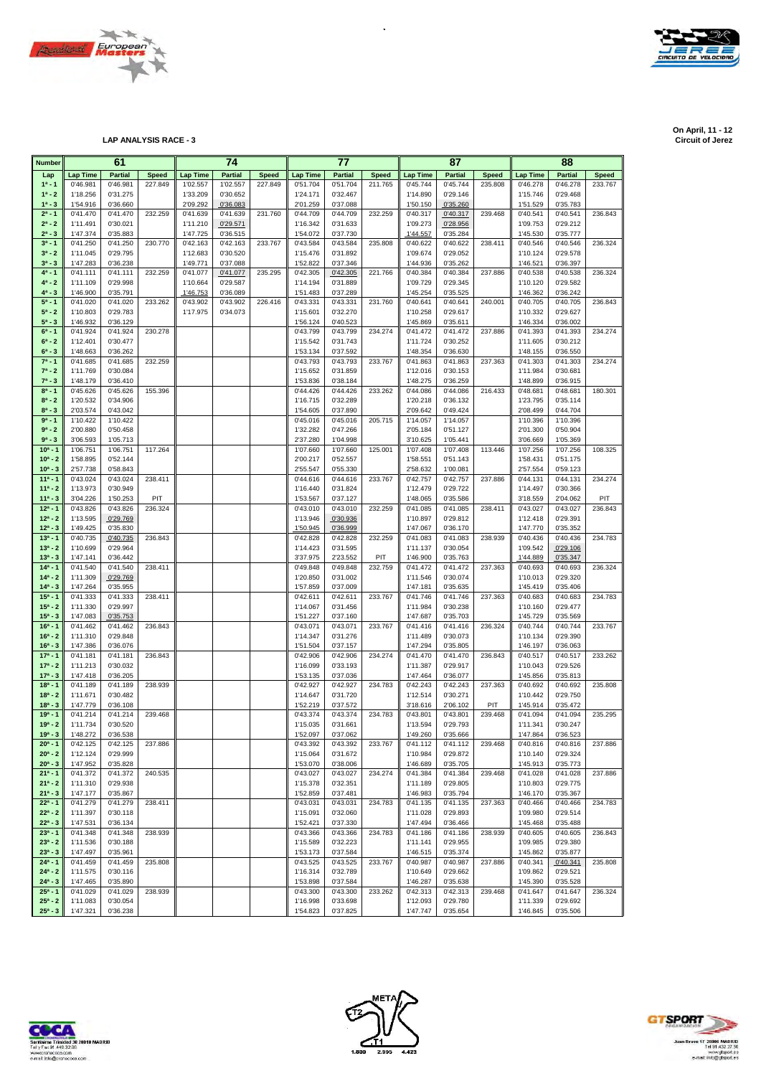



| <b>Number</b>              |                      | 61                   |              |                      | 74                   |              |                      | 77                   |              |                      | 87                   |                |                      | 88                   |              |
|----------------------------|----------------------|----------------------|--------------|----------------------|----------------------|--------------|----------------------|----------------------|--------------|----------------------|----------------------|----------------|----------------------|----------------------|--------------|
| Lap                        | <b>Lap Time</b>      | <b>Partial</b>       | <b>Speed</b> | <b>Lap Time</b>      | <b>Partial</b>       | <b>Speed</b> | Lap Time             | <b>Partial</b>       | <b>Speed</b> | Lap Time             | <b>Partial</b>       | <b>Speed</b>   | <b>Lap Time</b>      | <b>Partial</b>       | <b>Speed</b> |
| $1^a - 1$                  | 0'46.981             | 0'46.981             | 227.849      | 1'02.557             | 1'02.557             | 227.849      | 0'51.704             | 0'51.704             | 211.765      | 0'45.744             | 0'45.744             | 235.808        | 0'46.278             | 0'46.278             | 233.767      |
| $1^a - 2$                  | 1'18.256             | 0'31.275             |              | 1'33.209             | 0'30.652             |              | 1'24.171             | 0'32.467             |              | 1'14.890             | 0'29.146             |                | 1'15.746             | 0'29.468             |              |
| $1^a - 3$<br>$2^a - 1$     | 1'54.916<br>0'41.470 | 0'36.660             | 232.259      | 2'09.292             | 0'36.083             | 231.760      | 2'01.259             | 0'37.088<br>0'44.709 |              | 1'50.150<br>0'40.317 | 0'35.260             |                | 1'51.529             | 0'35.783<br>0'40.541 |              |
| $2^a - 2$                  | 1'11.491             | 0'41.470<br>0'30.021 |              | 0'41.639<br>1'11.210 | 0'41.639<br>0'29.571 |              | 0'44.709<br>1'16.342 | 0'31.633             | 232.259      | 1'09.273             | 0'40.317<br>0'28.956 | 239.468        | 0'40.541<br>1'09.753 | 0'29.212             | 236.843      |
| $2^a - 3$                  | 1'47.374             | 0'35.883             |              | 1'47.725             | 0'36.515             |              | 1'54.072             | 0'37.730             |              | 1'44.557             | 0'35.284             |                | 1'45.530             | 0'35.777             |              |
| $3^{a} - 1$                | 0'41.250             | 0'41.250             | 230.770      | 0'42.163             | 0'42.163             | 233.767      | 0'43.584             | 0'43.584             | 235.808      | 0'40.622             | 0'40.622             | 238.411        | 0'40.546             | 0'40.546             | 236.324      |
| $3^a - 2$                  | 1'11.045             | 0'29.795             |              | 1'12.683             | 0'30.520             |              | 1'15.476             | 0'31.892             |              | 1'09.674             | 0'29.052             |                | 1'10.124             | 0'29.578             |              |
| $3^{a} - 3$                | 1'47.283             | 0'36.238             |              | 1'49.771             | 0'37.088             |              | 1'52.822             | 0'37.346             |              | 1'44.936             | 0'35.262             |                | 1'46.521             | 0'36.397             |              |
| $4^a - 1$                  | 0'41.111             | 0'41.111             | 232.259      | 0'41.077             | 0'41.077             | 235.295      | 0'42.305             | 0'42.305             | 221.766      | 0'40.384             | 0'40.384             | 237.886        | 0'40.538             | 0'40.538             | 236.324      |
| $4^a - 2$<br>$4^a - 3$     | 1'11.109             | 0'29.998             |              | 1'10.664             | 0'29.587             |              | 1'14.194             | 0'31.889             |              | 1'09.729             | 0'29.345             |                | 1'10.120             | 0'29.582             |              |
| $5^a - 1$                  | 1'46.900<br>0'41.020 | 0'35.791<br>0'41.020 | 233.262      | 1'46.753<br>0'43.902 | 0'36.089<br>0'43.902 | 226.416      | 1'51.483<br>0'43.331 | 0'37.289<br>0'43.331 | 231.760      | 1'45.254<br>0'40.641 | 0'35.525<br>0'40.641 | 240.001        | 1'46.362<br>0'40.705 | 0'36.242<br>0'40.705 | 236.843      |
| $5^a - 2$                  | 1'10.803             | 0'29.783             |              | 1'17.975             | 0'34.073             |              | 1'15.601             | 0'32.270             |              | 1'10.258             | 0'29.617             |                | 1'10.332             | 0'29.627             |              |
| $5^a - 3$                  | 1'46.932             | 0'36.129             |              |                      |                      |              | 1'56.124             | 0'40.523             |              | 1'45.869             | 0'35.611             |                | 1'46.334             | 0'36.002             |              |
| $6^a - 1$                  | 0'41.924             | 0'41.924             | 230.278      |                      |                      |              | 0'43.799             | 0'43.799             | 234.274      | 0'41.472             | 0'41.472             | 237.886        | 0'41.393             | 0'41.393             | 234.274      |
| $6^a - 2$                  | 1'12.401             | 0'30.477             |              |                      |                      |              | 1'15.542             | 0'31.743             |              | 1'11.724             | 0'30.252             |                | 1'11.605             | 0'30.212             |              |
| $6^{a} - 3$                | 1'48.663             | 0'36.262             |              |                      |                      |              | 1'53.134             | 0'37.592             |              | 1'48.354             | 0'36.630             |                | 1'48.155             | 0'36.550             |              |
| $7^a - 1$                  | 0'41.685             | 0'41.685             | 232.259      |                      |                      |              | 0'43.793             | 0'43.793             | 233.767      | 0'41.863             | 0'41.863             | 237.363        | 0'41.303             | 0'41.303             | 234.274      |
| $7^a - 2$<br>$7^a - 3$     | 1'11.769<br>1'48.179 | 0'30.084<br>0'36.410 |              |                      |                      |              | 1'15.652<br>1'53.836 | 0'31.859<br>0'38.184 |              | 1'12.016<br>1'48.275 | 0'30.153<br>0'36.259 |                | 1'11.984<br>1'48.899 | 0'30.681<br>0'36.915 |              |
| $8^a - 1$                  | 0'45.626             | 0'45.626             | 155.396      |                      |                      |              | 0'44.426             | 0'44.426             | 233.262      | 0'44.086             | 0'44.086             | 216.433        | 0'48.681             | 0'48.681             | 180.301      |
| $8^a - 2$                  | 1'20.532             | 0'34.906             |              |                      |                      |              | 1'16.715             | 0'32.289             |              | 1'20.218             | 0'36.132             |                | 1'23.795             | 0'35.114             |              |
| $8^a - 3$                  | 2'03.574             | 0'43.042             |              |                      |                      |              | 1'54.605             | 0'37.890             |              | 2'09.642             | 0'49.424             |                | 2'08.499             | 0'44.704             |              |
| $9a - 1$                   | 1'10.422             | 1'10.422             |              |                      |                      |              | 0'45.016             | 0'45.016             | 205.715      | 1'14.057             | 1'14.057             |                | 1'10.396             | 1'10.396             |              |
| $9a - 2$                   | 2'00.880             | 0'50.458             |              |                      |                      |              | 1'32.282             | 0'47.266             |              | 2'05.184             | 0'51.127             |                | 2'01.300             | 0'50.904             |              |
| $9a - 3$                   | 3'06.593             | 1'05.713             |              |                      |                      |              | 2'37.280             | 1'04.998             |              | 3'10.625             | 1'05.441             |                | 3'06.669             | 1'05.369             |              |
| $10a - 1$<br>$10^a - 2$    | 1'06.751             | 1'06.751             | 117.264      |                      |                      |              | 1'07.660             | 1'07.660             | 125.001      | 1'07.408             | 1'07.408<br>0'51.143 | 113.446        | 1'07.256<br>1'58.431 | 1'07.256<br>0'51.175 | 108.325      |
| $10^a - 3$                 | 1'58.895<br>2'57.738 | 0'52.144<br>0'58.843 |              |                      |                      |              | 2'00.217<br>2'55.547 | 0'52.557<br>0'55.330 |              | 1'58.551<br>2'58.632 | 1'00.081             |                | 2'57.554             | 0'59.123             |              |
| $11a - 1$                  | 0'43.024             | 0'43.024             | 238.411      |                      |                      |              | 0'44.616             | 0'44.616             | 233.767      | 0'42.757             | 0'42.757             | 237.886        | 0'44.131             | 0'44.131             | 234.274      |
| $11a - 2$                  | 1'13.973             | 0'30.949             |              |                      |                      |              | 1'16.440             | 0'31.824             |              | 1'12.479             | 0'29.722             |                | 1'14.497             | 0'30.366             |              |
| $11a - 3$                  | 3'04.226             | 1'50.253             | PIT          |                      |                      |              | 1'53.567             | 0'37.127             |              | 1'48.065             | 0'35.586             |                | 3'18.559             | 2'04.062             | PIT          |
| $12^a - 1$                 | 0'43.826             | 0'43.826             | 236.324      |                      |                      |              | 0'43.010             | 0'43.010             | 232.259      | 0'41.085             | 0'41.085             | 238.411        | 0'43.027             | 0'43.027             | 236.843      |
| $12^a - 2$                 | 1'13.595             | 0'29.769             |              |                      |                      |              | 1'13.946             | 0'30.936             |              | 1'10.897             | 0'29.812             |                | 1'12.418             | 0'29.391             |              |
| $12^a - 3$                 | 1'49.425             | 0'35.830             |              |                      |                      |              | 1'50.945             | 0'36.999             |              | 1'47.067             | 0'36.170             |                | 1'47.770             | 0'35.352             |              |
| $13^{a} - 1$<br>$13^a - 2$ | 0'40.735<br>1'10.699 | 0'40.735<br>0'29.964 | 236.843      |                      |                      |              | 0'42.828<br>1'14.423 | 0'42.828<br>0'31.595 | 232.259      | 0'41.083<br>1'11.137 | 0'41.083<br>0'30.054 | 238.939        | 0'40.436<br>1'09.542 | 0'40.436<br>0'29.106 | 234.783      |
| $13a - 3$                  | 1'47.141             | 0'36.442             |              |                      |                      |              | 3'37.975             | 2'23.552             | PIT          | 1'46.900             | 0'35.763             |                | 1'44.889             | 0'35.347             |              |
| $14a - 1$                  | 0'41.540             | 0'41.540             | 238.411      |                      |                      |              | 0'49.848             | 0'49.848             | 232.759      | 0'41.472             | 0'41.472             | 237.363        | 0'40.693             | 0'40.693             | 236.324      |
| $14^a - 2$                 | 1'11.309             | 0'29.769             |              |                      |                      |              | 1'20.850             | 0'31.002             |              | 1'11.546             | 0'30.074             |                | 1'10.013             | 0'29.320             |              |
| $14a - 3$                  | 1'47.264             | 0'35.955             |              |                      |                      |              | 1'57.859             | 0'37.009             |              | 1'47.181             | 0'35.635             |                | 1'45.419             | 0'35.406             |              |
| $15a - 1$                  | 0'41.333             | 0'41.333             | 238.411      |                      |                      |              | 0'42.611             | 0'42.611             | 233.767      | 0'41.746             | 0'41.746             | 237.363        | 0'40.683             | 0'40.683             | 234.783      |
| $15^a - 2$                 | 1'11.330             | 0'29.997             |              |                      |                      |              | 1'14.067             | 0'31.456             |              | 1'11.984             | 0'30.238             |                | 1'10.160             | 0'29.477             |              |
| $15^a - 3$<br>$16^a - 1$   | 1'47.083             | 0'35.753             |              |                      |                      |              | 1'51.227             | 0'37.160             |              | 1'47.687             | 0'35.703             |                | 1'45.729             | 0'35.569             |              |
| $16^a - 2$                 | 0'41.462<br>1'11.310 | 0'41.462<br>0'29.848 | 236.843      |                      |                      |              | 0'43.071<br>1'14.347 | 0'43.071<br>0'31.276 | 233.767      | 0'41.416<br>1'11.489 | 0'41.416<br>0'30.073 | 236.324        | 0'40.744<br>1'10.134 | 0'40.744<br>0'29.390 | 233.767      |
| $16^a - 3$                 | 1'47.386             | 0'36.076             |              |                      |                      |              | 1'51.504             | 0'37.157             |              | 1'47.294             | 0'35.805             |                | 1'46.197             | 0'36.063             |              |
| $17a - 1$                  | 0'41.181             | 0'41.181             | 236.843      |                      |                      |              | 0'42.906             | 0'42.906             | 234.274      | 0'41.470             | 0'41.470             | 236.843        | 0'40.517             | 0'40.517             | 233.262      |
| $17a - 2$                  | 1'11.213             | 0'30.032             |              |                      |                      |              | 1'16.099             | 0'33.193             |              | 1'11.387             | 0'29.917             |                | 1'10.043             | 0'29.526             |              |
| $17^a - 3$                 | 1'47.418             | 0'36.205             |              |                      |                      |              | 1'53.135             | 0'37.036             |              | 1'47.464             | 0'36.077             |                | 1'45.856             | 0'35.813             |              |
| $18a - 1$                  | 0'41.189             | 0'41.189             | 238.939      |                      |                      |              | 0'42.927             | 0'42.927             | 234.783      | 0'42.243             | 0'42.243             | 237.363        | 0'40.692             | 0'40.692             | 235.808      |
| $18a - 2$                  | 1'11.671             | 0'30.482             |              |                      |                      |              | 1'14.647             | 0'31.720<br>0'37.572 |              | 1'12.514             | 0'30.271             |                | 1'10.442             | 0'29.750             |              |
| $18^{a} - 3$<br>$19a - 1$  | 1'47.779<br>0'41.214 | 0'36.108<br>0'41.214 | 239.468      |                      |                      |              | 1'52.219<br>0'43.374 | 0'43.374             | 234.783      | 3'18.616<br>0'43.801 | 2'06.102<br>0'43.801 | PIT<br>239.468 | 1'45.914<br>0'41.094 | 0'35.472<br>0'41.094 | 235.295      |
| $19a - 2$                  | 1'11.734             | 0'30.520             |              |                      |                      |              | 1'15.035             | 0'31.661             |              | 1'13.594             | 0'29.793             |                | 1'11.341             | 0'30.247             |              |
| $19a - 3$                  | 1'48.272             | 0'36.538             |              |                      |                      |              | 1'52.097             | 0'37.062             |              | 1'49.260             | 0'35.666             |                | 1'47.864             | 0'36.523             |              |
| $20^a - 1$                 | 0'42.125             | 0'42.125             | 237.886      |                      |                      |              | 0'43.392             | 0'43.392             | 233.767      | 0'41.112             | 0'41.112             | 239.468        | 0'40.816             | 0'40.816             | 237.886      |
| $20^a - 2$                 | 1'12.124             | 0'29.999             |              |                      |                      |              | 1'15.064             | 0'31.672             |              | 1'10.984             | 0'29.872             |                | 1'10.140             | 0'29.324             |              |
| $20^a - 3$                 | 1'47.952             | 0'35.828             |              |                      |                      |              | 1'53.070             | 0'38.006             |              | 1'46.689             | 0'35.705             |                | 1'45.913             | 0'35.773             |              |
| $21a - 1$                  | 0'41.372             | 0'41.372             | 240.535      |                      |                      |              | 0'43.027             | 0'43.027             | 234.274      | 0'41.384             | 0'41.384             | 239.468        | 0'41.028             | 0'41.028             | 237.886      |
| $21^a - 2$<br>$21^a - 3$   | 1'11.310<br>1'47.177 | 0'29.938<br>0'35.867 |              |                      |                      |              | 1'15.378<br>1'52.859 | 0'32.351<br>0'37.481 |              | 1'11.189<br>1'46.983 | 0'29.805<br>0'35.794 |                | 1'10.803<br>1'46.170 | 0'29.775<br>0'35.367 |              |
| $22a - 1$                  | 0'41.279             | 0'41.279             | 238.411      |                      |                      |              | 0'43.031             | 0'43.031             | 234.783      | 0'41.135             | 0'41.135             | 237.363        | 0'40.466             | 0'40.466             | 234.783      |
| $22^a - 2$                 | 1'11.397             | 0'30.118             |              |                      |                      |              | 1'15.091             | 0'32.060             |              | 1'11.028             | 0'29.893             |                | 1'09.980             | 0'29.514             |              |
| $22^a - 3$                 | 1'47.531             | 0'36.134             |              |                      |                      |              | 1'52.421             | 0'37.330             |              | 1'47.494             | 0'36.466             |                | 1'45.468             | 0'35.488             |              |
| $23a - 1$                  | 0'41.348             | 0'41.348             | 238.939      |                      |                      |              | 0'43.366             | 0'43.366             | 234.783      | 0'41.186             | 0'41.186             | 238.939        | 0'40.605             | 0'40.605             | 236.843      |
| $23^a - 2$                 | 1'11.536             | 0'30.188             |              |                      |                      |              | 1'15.589             | 0'32.223             |              | 1'11.141             | 0'29.955             |                | 1'09.985             | 0'29.380             |              |
| $23^a - 3$                 | 1'47.497             | 0'35.961             |              |                      |                      |              | 1'53.173             | 0'37.584             |              | 1'46.515             | 0'35.374             |                | 1'45.862             | 0'35.877             |              |
| $24^a - 1$<br>$24^a - 2$   | 0'41.459             | 0'41.459             | 235.808      |                      |                      |              | 0'43.525             | 0'43.525             | 233.767      | 0'40.987             | 0'40.987             | 237.886        | 0'40.341             | 0'40.341             | 235.808      |
| $24^a - 3$                 | 1'11.575<br>1'47.465 | 0'30.116<br>0'35.890 |              |                      |                      |              | 1'16.314<br>1'53.898 | 0'32.789<br>0'37.584 |              | 1'10.649<br>1'46.287 | 0'29.662<br>0'35.638 |                | 1'09.862<br>1'45.390 | 0'29.521<br>0'35.528 |              |
| $25^a - 1$                 | 0'41.029             | 0'41.029             | 238.939      |                      |                      |              | 0'43.300             | 0'43.300             | 233.262      | 0'42.313             | 0'42.313             | 239.468        | 0'41.647             | 0'41.647             | 236.324      |
| $25^a - 2$                 | 1'11.083             | 0'30.054             |              |                      |                      |              | 1'16.998             | 0'33.698             |              | 1'12.093             | 0'29.780             |                | 1'11.339             | 0'29.692             |              |
| $25^a - 3$                 | 1'47.321             | 0'36.238             |              |                      |                      |              | 1'54.823             | 0'37.825             |              | 1'47.747             | 0'35.654             |                | 1'46.845             | 0'35.506             |              |

 $\hat{\mathcal{A}}$ 







**On April, 11 - 12 On April, 11 - 12 Circuit of Jerez LAP ANALYSIS RACE - 3 Circuit of Jerez**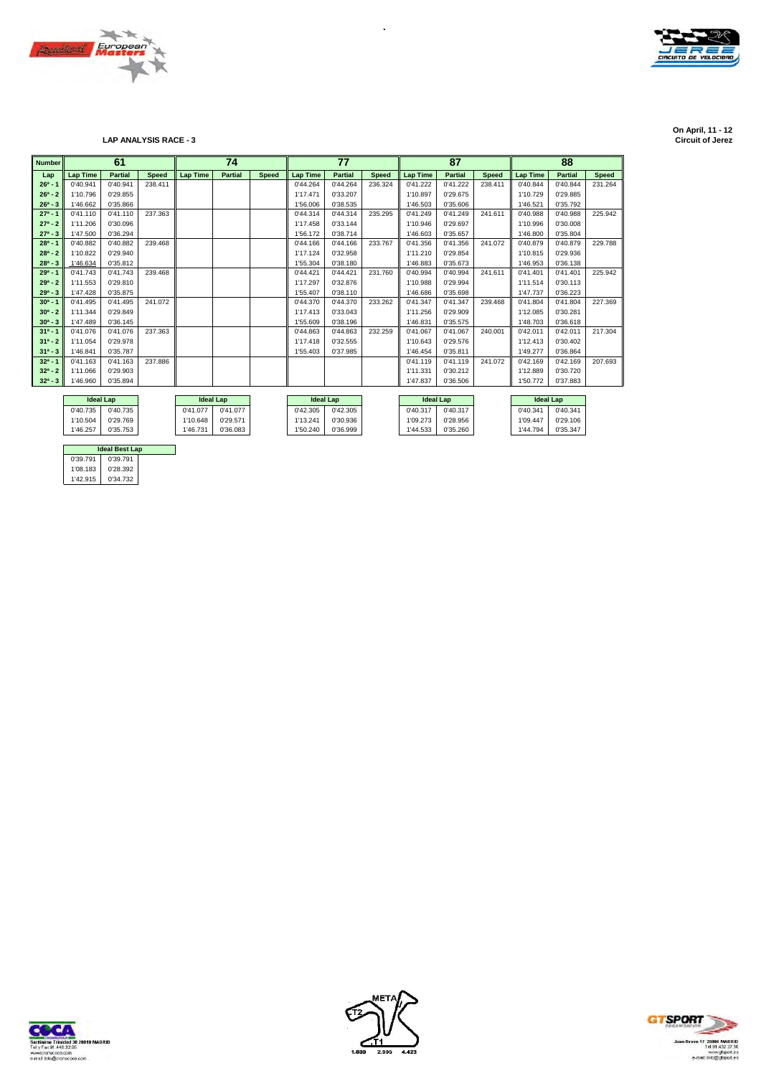



**On April, 11 - 12 On April, 11 - 12 Circuit of Jerez LAP ANALYSIS RACE - 3 Circuit of Jerez**

| <b>Number</b> | 61              |                  |              |                  | 74             |              |                 | 77               |              |                  | 87             |              |                 | 88               |              |
|---------------|-----------------|------------------|--------------|------------------|----------------|--------------|-----------------|------------------|--------------|------------------|----------------|--------------|-----------------|------------------|--------------|
| Lap           | <b>Lap Time</b> | <b>Partial</b>   | <b>Speed</b> | <b>Lap Time</b>  | <b>Partial</b> | <b>Speed</b> | <b>Lap Time</b> | <b>Partial</b>   | <b>Speed</b> | <b>Lap Time</b>  | <b>Partial</b> | <b>Speed</b> | <b>Lap Time</b> | <b>Partial</b>   | <b>Speed</b> |
| $26^a - 1$    | 0'40.941        | 0'40.941         | 238.411      |                  |                |              | 0'44.264        | 0'44.264         | 236.324      | 0'41.222         | 0'41.222       | 238.411      | 0'40.844        | 0'40.844         | 231.264      |
| $26^a - 2$    | 1'10.796        | 0'29.855         |              |                  |                |              | 1'17.471        | 0'33.207         |              | 1'10.897         | 0'29.675       |              | 1'10.729        | 0'29.885         |              |
| $26^a - 3$    | 1'46.662        | 0'35.866         |              |                  |                |              | 1'56.006        | 0'38.535         |              | 1'46.503         | 0'35.606       |              | 1'46.521        | 0'35.792         |              |
| $27a - 1$     | 0'41.110        | 0'41.110         | 237.363      |                  |                |              | 0'44.314        | 0'44.314         | 235.295      | 0'41.249         | 0'41.249       | 241.611      | 0'40.988        | 0'40.988         | 225.942      |
| $27a - 2$     | 1'11.206        | 0'30.096         |              |                  |                |              | 1'17.458        | 0'33.144         |              | 1'10.946         | 0'29.697       |              | 1'10.996        | 0'30,008         |              |
| $27^a - 3$    | 1'47.500        | 0'36.294         |              |                  |                |              | 1'56.172        | 0'38.714         |              | 1'46.603         | 0'35.657       |              | 1'46.800        | 0'35.804         |              |
| $28a - 1$     | 0'40.882        | 0'40.882         | 239.468      |                  |                |              | 0'44.166        | 0'44.166         | 233.767      | 0'41.356         | 0'41.356       | 241.072      | 0'40.879        | 0'40.879         | 229.788      |
| $28a - 2$     | 1'10.822        | 0'29.940         |              |                  |                |              | 1'17.124        | 0'32.958         |              | 1'11.210         | 0'29.854       |              | 1'10.815        | 0'29.936         |              |
| $28a - 3$     | 1'46.634        | 0'35.812         |              |                  |                |              | 1'55.304        | 0'38.180         |              | 1'46.883         | 0'35.673       |              | 1'46.953        | 0'36.138         |              |
| $29a - 1$     | 0'41.743        | 0'41.743         | 239.468      |                  |                |              | 0'44.421        | 0'44.421         | 231.760      | 0'40.994         | 0'40.994       | 241.611      | 0'41.401        | 0'41.401         | 225.942      |
| $29a - 2$     | 1'11.553        | 0'29.810         |              |                  |                |              | 1'17.297        | 0'32.876         |              | 1'10.988         | 0'29.994       |              | 1'11.514        | 0'30.113         |              |
| $29a - 3$     | 1'47.428        | 0'35.875         |              |                  |                |              | 1'55.407        | 0'38.110         |              | 1'46.686         | 0'35.698       |              | 1'47.737        | 0'36.223         |              |
| $30^a - 1$    | 0'41.495        | 0'41.495         | 241.072      |                  |                |              | 0'44.370        | 0'44.370         | 233.262      | 0'41.347         | 0'41.347       | 239.468      | 0'41.804        | 0'41.804         | 227.369      |
| $30^a - 2$    | 1'11.344        | 0'29.849         |              |                  |                |              | 1'17.413        | 0'33.043         |              | 1'11.256         | 0'29.909       |              | 1'12.085        | 0'30.281         |              |
| $30^a - 3$    | 1'47.489        | 0'36.145         |              |                  |                |              | 1'55.609        | 0'38.196         |              | 1'46.831         | 0'35.575       |              | 1'48.703        | 0'36.618         |              |
| $31a - 1$     | 0'41.076        | 0'41.076         | 237.363      |                  |                |              | 0'44.863        | 0'44.863         | 232.259      | 0'41.067         | 0'41.067       | 240.001      | 0'42.011        | 0'42.011         | 217.304      |
| $31a - 2$     | 1'11.054        | 0'29.978         |              |                  |                |              | 1'17.418        | 0'32.555         |              | 1'10.643         | 0'29.576       |              | 1'12.413        | 0'30.402         |              |
| $31^a - 3$    | 1'46.841        | 0'35.787         |              |                  |                |              | 1'55.403        | 0'37.985         |              | 1'46.454         | 0'35.811       |              | 1'49.277        | 0'36.864         |              |
| $32^a - 1$    | 0'41.163        | 0'41.163         | 237.886      |                  |                |              |                 |                  |              | 0'41.119         | 0'41.119       | 241.072      | 0'42.169        | 0'42.169         | 207.693      |
| $32^a - 2$    | 1'11.066        | 0'29.903         |              |                  |                |              |                 |                  |              | 1'11.331         | 0'30.212       |              | 1'12.889        | 0'30.720         |              |
| $32^a - 3$    | 1'46.960        | 0'35.894         |              |                  |                |              |                 |                  |              | 1'47.837         | 0'36.506       |              | 1'50.772        | 0'37.883         |              |
|               |                 |                  |              |                  |                |              |                 |                  |              |                  |                |              |                 |                  |              |
|               |                 | <b>Ideal Lap</b> |              | <b>Ideal Lap</b> |                |              |                 | <b>Ideal Lap</b> |              | <b>Ideal Lap</b> |                |              |                 | <b>Ideal Lap</b> |              |
|               | 0'40.735        | 0'40.735         |              | 0'41.077         | 0'41.077       |              | 0'42.305        | 0'42.305         |              | 0'40.317         | 0'40.317       |              | 0'40.341        | 0'40.341         |              |
|               | 1'10.504        | 0'29.769         |              | 1'10.648         | 0'29.571       |              | 1'13.241        | 0'30.936         |              | 1'09.273         | 0'28.956       |              | 1'09.447        | 0'29.106         |              |
|               | 1'46.257        | 0'35.753         |              | 1'46.731         | 0'36.083       |              | 1'50.240        | 0'36.999         |              | 1'44.533         | 0'35.260       |              | 1'44.794        | 0'35.347         |              |

 $\bar{\phantom{a}}$ 

|          | <b>Ideal Best Lap</b> |  |
|----------|-----------------------|--|
| 0'39.791 | 0'39.791              |  |
| 1'08.183 | 0'28.392              |  |
| 1'42.915 | 0'34.732              |  |

| Santisima Trinidad 30 28018 MADRID<br>Tel y Fax 91.448.32.06 |  |
|--------------------------------------------------------------|--|
| www.cronococa.com<br>e-mail: info@cronococa.com              |  |



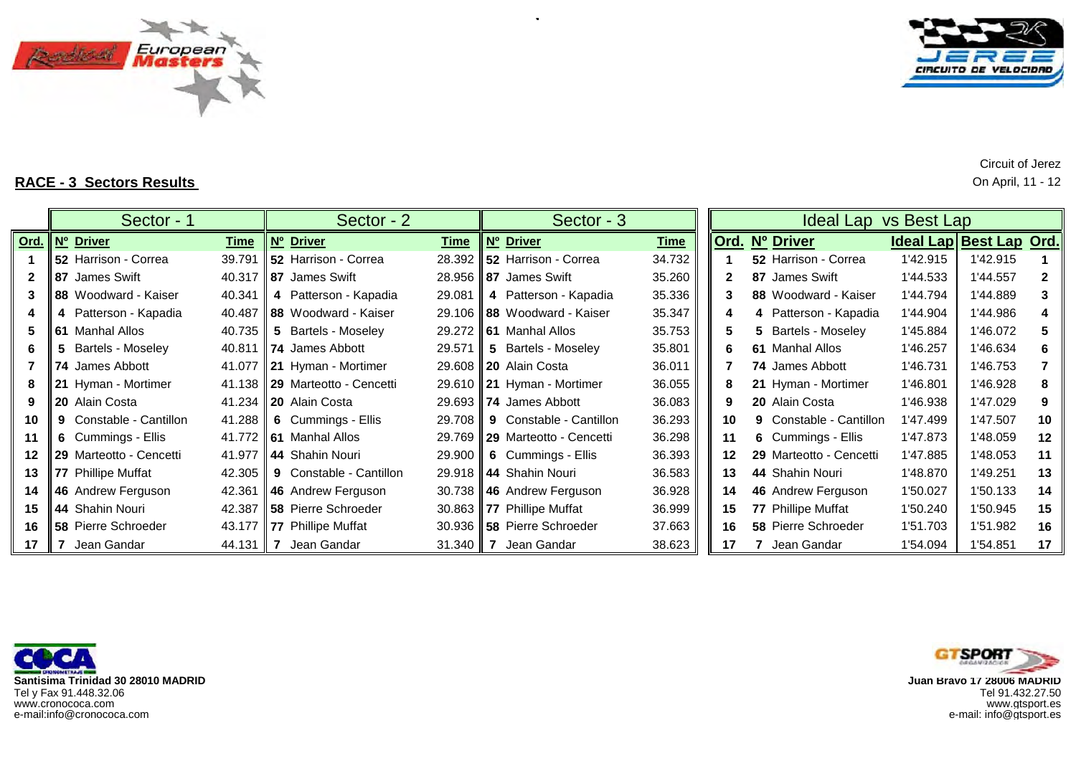



**RACE - 3 Sectors Results** On April, 11 - 12

|                  | Sector - 1                     |                    | Sector - 2                         |              | Sector - 3                          |             | Ideal Lap vs Best Lap |                                |          |                         |              |  |  |  |  |  |
|------------------|--------------------------------|--------------------|------------------------------------|--------------|-------------------------------------|-------------|-----------------------|--------------------------------|----------|-------------------------|--------------|--|--|--|--|--|
|                  | <u> Ord. Nº Driver</u>         | <u>Time</u>        | <b>Nº Driver</b>                   | Time         | <b>Nº</b> Driver                    | <b>Time</b> |                       | Ord. Nº Driver                 |          | Ideal Lap Best Lap Ord. |              |  |  |  |  |  |
|                  | <b>152 Harrison - Correa</b>   | 39.791             | <b>152 Harrison - Correa</b>       |              | 28.392   52 Harrison - Correa       | 34.732      |                       | 52 Harrison - Correa           | 1'42.915 | 1'42.915                |              |  |  |  |  |  |
|                  | <b>87</b> James Swift          |                    | 40.317 <b>87</b> James Swift       |              | 28.956 <b>87</b> James Swift        | 35.260      | $\mathbf{2}$          | 87 James Swift                 | 1'44.533 | 1'44.557                | $\mathbf{2}$ |  |  |  |  |  |
| 3                | <b>188</b> Woodward - Kaiser   | 40.341             | 4 Patterson - Kapadia              | 29.081       | 4 Patterson - Kapadia               | 35.336      | 3                     | 88 Woodward - Kaiser           | 1'44.794 | 1'44.889                | 3            |  |  |  |  |  |
|                  | 4 Patterson - Kapadia          |                    | 40.487 88 Woodward - Kaiser        |              | 29.106 88 Woodward - Kaiser         | 35.347      |                       | 4 Patterson - Kapadia          | 1'44.904 | 1'44.986                |              |  |  |  |  |  |
| 5                | <b>61</b> Manhal Allos         | 40.735 $\parallel$ | 5 Bartels - Moseley                |              | 29.272 <b>61</b> Manhal Allos       | 35.753      | 5.                    | 5 Bartels - Moseley            | 1'45.884 | 1'46.072                |              |  |  |  |  |  |
| 6                | 5 Bartels - Moseley            |                    | 40.811   74 James Abbott           | 29.571       | 5 Bartels - Moseley                 | 35.801      | 6                     | 61 Manhal Allos                | 1'46.257 | 1'46.634                | 6            |  |  |  |  |  |
|                  | 74 James Abbott                |                    | 41.077 21 Hyman - Mortimer         |              | 29.608 20 Alain Costa               | 36.011      |                       | 74 James Abbott                | 1'46.731 | 1'46.753                |              |  |  |  |  |  |
| 8                | 21 Hyman - Mortimer            |                    | 41.138 29 Marteotto - Cencetti     |              | 29.610   21 Hyman - Mortimer        | 36.055      | 8                     | 21 Hyman - Mortimer            | 1'46.801 | 1'46.928                | 8            |  |  |  |  |  |
| 9                | <b>20</b> Alain Costa          |                    | 41.234 20 Alain Costa              |              | 29.693 74 James Abbott              | 36.083      | 9                     | <b>20</b> Alain Costa          | 1'46.938 | 1'47.029                | 9            |  |  |  |  |  |
| 10               | <b>9</b> Constable - Cantillon | 41.288 $\parallel$ | 6 Cummings - Ellis                 | 29.708       | 9 Constable - Cantillon             | 36.293      | 10                    | <b>9</b> Constable - Cantillon | 1'47.499 | 1'47.507                | 10           |  |  |  |  |  |
| 11               | 6 Cummings - Ellis             |                    | 41.772 <b>61</b> Manhal Allos      |              | 29.769 29 Marteotto - Cencetti      | 36.298      | 11                    | 6 Cummings - Ellis             | 1'47.873 | 1'48.059                | 12           |  |  |  |  |  |
| 12 <sup>12</sup> | 29 Marteotto - Cencetti        |                    | 41.977 44 Shahin Nouri             | 29.900       | 6 Cummings - Ellis                  | 36.393      | $12 \,$               | 29 Marteotto - Cencetti        | 1'47.885 | 1'48.053                | 11           |  |  |  |  |  |
| 13.              | 77 Phillipe Muffat             | 42.305 $\parallel$ | <b>9</b> Constable - Cantillon     |              | 29.918 44 Shahin Nouri              | 36.583      | 13                    | 44 Shahin Nouri                | 1'48.870 | 1'49.251                | 13           |  |  |  |  |  |
|                  | 14    46 Andrew Ferguson       | 42.361             | <b>46</b> Andrew Ferguson          |              | 30.738 46 Andrew Ferguson           | 36.928      | 14                    | 46 Andrew Ferguson             | 1'50.027 | 1'50.133                | 14           |  |  |  |  |  |
| 15               | 44 Shahin Nouri                |                    | 42.387 <b>158</b> Pierre Schroeder |              | 30.863 77 Phillipe Muffat           | 36.999      | 15                    | 77 Phillipe Muffat             | 1'50.240 | 1'50.945                | 15           |  |  |  |  |  |
|                  | 16 <b>158</b> Pierre Schroeder |                    | 43.177 77 Phillipe Muffat          |              | 30.936 <b>I 58</b> Pierre Schroeder | 37.663      | 16                    | <b>58 Pierre Schroeder</b>     | 1'51.703 | 1'51.982                | 16           |  |  |  |  |  |
| 17               | <b>I</b> 7 Jean Gandar         | 44.131             | II 7<br>Jean Gandar                | $31.340$   7 | Jean Gandar                         | 38.623      | 17                    | Jean Gandar                    | 1'54.094 | 1'54.851                | 17           |  |  |  |  |  |

÷.

**Santisima Trinidad 30 28010 MADRID**Tel y Fax 91.448.32.06 Tel 91.432.27.50 www.cronococa.com<br>e-mail:info@cronococa.com



Circuit of Jerez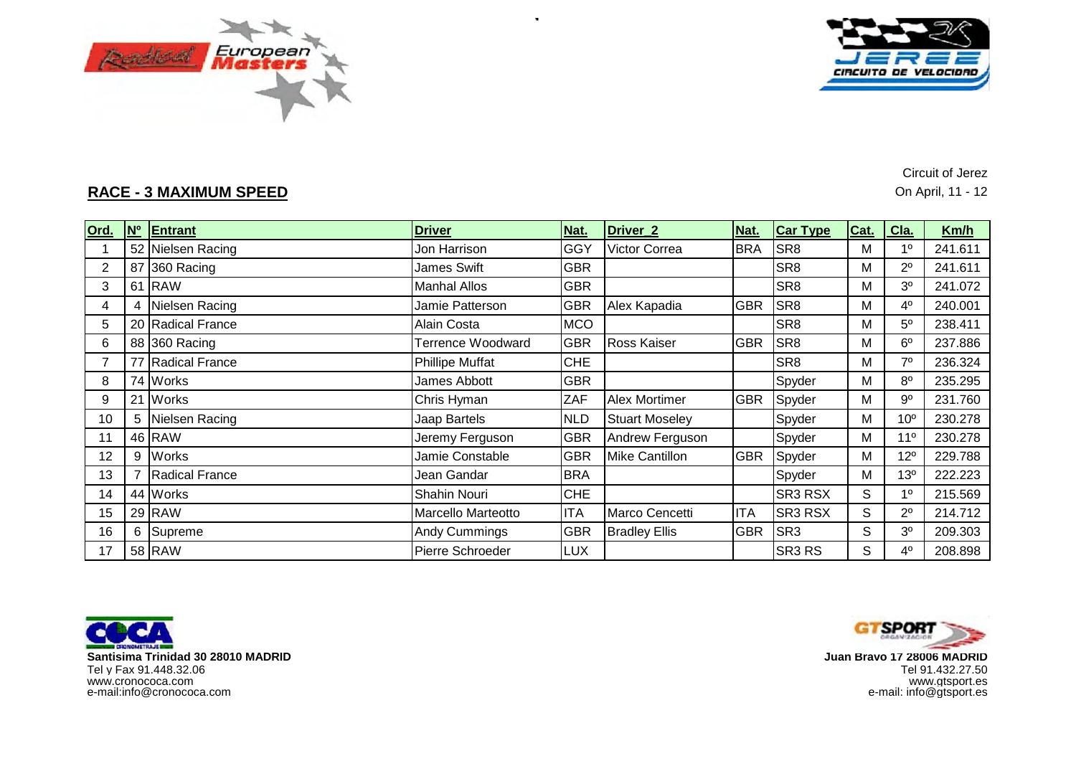



**RACE - 3 MAXIMUM SPEED**

Circuit of Jerez On April, 11 - 12

| Ord.           | <b>N°</b> | Entrant               | <b>Driver</b>            | Nat.       | Driver <sub>_2</sub>  | Nat.       | <b>Car Type</b>    | Cat. | Cla.            | Km/h    |
|----------------|-----------|-----------------------|--------------------------|------------|-----------------------|------------|--------------------|------|-----------------|---------|
|                |           | 52 Nielsen Racing     | Jon Harrison             | <b>GGY</b> | Victor Correa         | <b>BRA</b> | SR <sub>8</sub>    | M    | 1 <sup>0</sup>  | 241.611 |
| $\overline{2}$ |           | 87 360 Racing         | James Swift              | <b>GBR</b> |                       |            | SR <sub>8</sub>    | M    | $2^{\circ}$     | 241.611 |
| 3              |           | 61 RAW                | <b>Manhal Allos</b>      | <b>GBR</b> |                       |            | SR <sub>8</sub>    | M    | 3 <sup>0</sup>  | 241.072 |
| 4              | 4         | Nielsen Racing        | Jamie Patterson          | <b>GBR</b> | Alex Kapadia          | <b>GBR</b> | SR <sub>8</sub>    | M    | $4^{\circ}$     | 240.001 |
| 5              |           | 20 Radical France     | Alain Costa              | <b>MCO</b> |                       |            | SR <sub>8</sub>    | М    | $5^{\circ}$     | 238.411 |
| 6              |           | 88 360 Racing         | <b>Terrence Woodward</b> | <b>GBR</b> | <b>Ross Kaiser</b>    | <b>GBR</b> | SR <sub>8</sub>    | M    | 6 <sup>o</sup>  | 237.886 |
|                |           | 77 Radical France     | <b>Phillipe Muffat</b>   | <b>CHE</b> |                       |            | SR <sub>8</sub>    | M    | $7^\circ$       | 236.324 |
| 8              |           | 74 Works              | James Abbott             | <b>GBR</b> |                       |            | Spyder             | M    | $8^{\circ}$     | 235.295 |
| 9              | 21        | <b>Works</b>          | Chris Hyman              | ZAF        | <b>Alex Mortimer</b>  | <b>GBR</b> | Spyder             | M    | $9^{\circ}$     | 231.760 |
| 10             | 5         | Nielsen Racing        | Jaap Bartels             | <b>NLD</b> | <b>Stuart Moseley</b> |            | Spyder             | M    | 10 <sup>o</sup> | 230.278 |
| 11             |           | 46 RAW                | Jeremy Ferguson          | <b>GBR</b> | Andrew Ferguson       |            | Spyder             | M    | 11 <sup>0</sup> | 230.278 |
| 12             | 9         | <b>Works</b>          | Jamie Constable          | <b>GBR</b> | <b>Mike Cantillon</b> | <b>GBR</b> | Spyder             | M    | $12^{\circ}$    | 229.788 |
| 13             |           | <b>Radical France</b> | Jean Gandar              | <b>BRA</b> |                       |            | Spyder             | M    | 13 <sup>o</sup> | 222.223 |
| 14             |           | 44 Works              | Shahin Nouri             | <b>CHE</b> |                       |            | SR3 RSX            | S    | 1 <sup>0</sup>  | 215.569 |
| 15             |           | 29 RAW                | Marcello Marteotto       | <b>ITA</b> | Marco Cencetti        | <b>ITA</b> | SR3 RSX            | S    | $2^{\circ}$     | 214.712 |
| 16             | 6         | Supreme               | <b>Andy Cummings</b>     | <b>GBR</b> | <b>Bradley Ellis</b>  | <b>GBR</b> | SR <sub>3</sub>    | S    | 3 <sup>0</sup>  | 209.303 |
| 17             |           | 58 RAW                | Pierre Schroeder         | <b>LUX</b> |                       |            | SR <sub>3</sub> RS | S    | $4^{\circ}$     | 208.898 |

÷.





 **Juan Bravo 17 28006 MADRID** www.gtsport.es e-mail: info@gtsport.es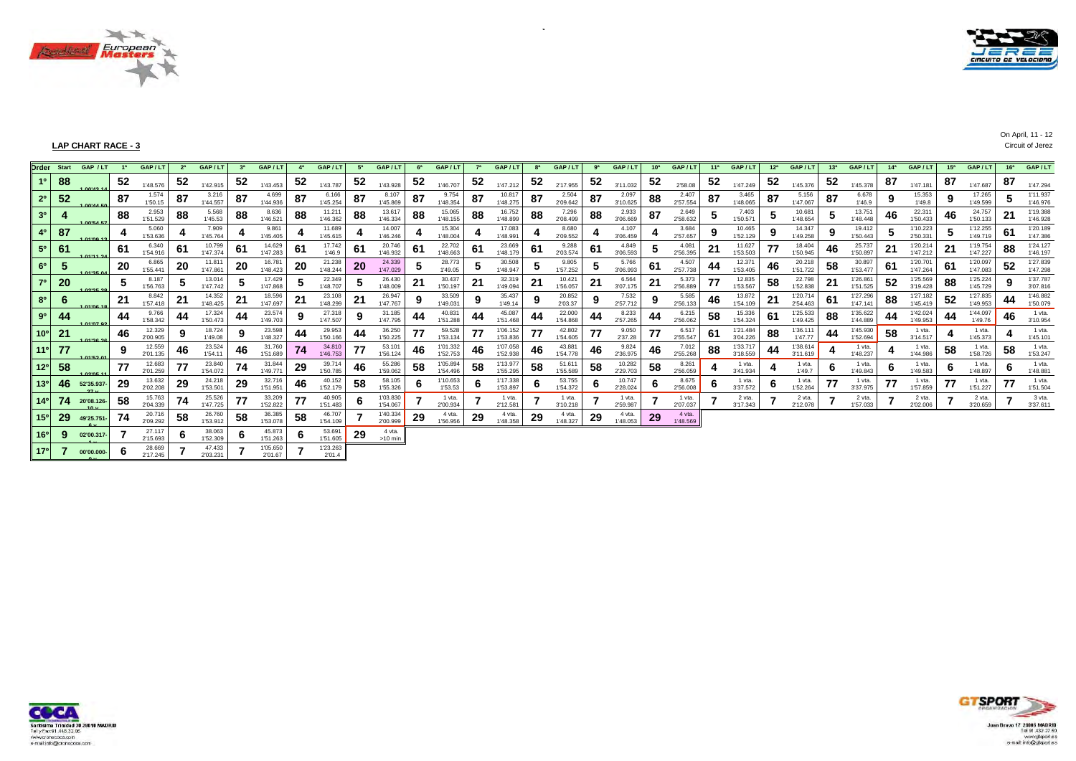



On April, 11 - 12

### **LAP CHART RACE - 3** Circuit of Jerez

|                 |     | Order Start GAP / LT | - 18 | GAP/LT             | 2 <sup>a</sup> | GAP/LT             | 3 <sup>a</sup> | GAP/LT              | 4 <sup>a</sup> | GAP/LT             |    | GAP/LT               |    | GAP/LT               | 7 <sup>a</sup> | GAP/L                |     | GAP/LT             | 9ª | GAP/LT             | 10 <sup>a</sup> | GAP/LT             | 11 <sup>a</sup> | GAP/LT               | 12 <sup>a</sup> | GAP/LT               | 13 <sup>a</sup> | GAP/LT               | 14 <sup>3</sup> | GAP/L                |    | 15 <sup>a</sup> GAP / LT | 16 <sup>a</sup> | GAP/LT               |
|-----------------|-----|----------------------|------|--------------------|----------------|--------------------|----------------|---------------------|----------------|--------------------|----|----------------------|----|----------------------|----------------|----------------------|-----|--------------------|----|--------------------|-----------------|--------------------|-----------------|----------------------|-----------------|----------------------|-----------------|----------------------|-----------------|----------------------|----|--------------------------|-----------------|----------------------|
| 10 <sup>°</sup> | 88  | 0.0142A              | 52   | 1'48.576           | 52             | 1'42.915           | 52             | 1'43.453            | 52             | 1'43.787           | 52 | 1'43.928             | 52 | 1'46.707             | 52             | 1'47.212             | 52  | 2'17.955           | 52 | 3'11.032           | 52              | 2'58.08            | 52              | 1'47.249             | 52              | 1'45.376             | 52              | 1'45.378             | 87              | 1'47.181             | 87 | 1'47.687                 | 87              | 1'47.294             |
| 2 <sup>0</sup>  | 52  | 00144E0              | 87   | 1.574<br>1'50.15   | 87             | 3.216<br>1'44.557  | 87             | 4.699<br>1'44.936   | 87             | 6.166<br>1'45.254  | 87 | 8.107<br>1'45.869    | 87 | 9.754<br>1'48.354    | 87             | 10.817<br>1'48.275   | 87  | 2.504<br>2'09.642  | 87 | 2.097<br>3'10.625  | 88              | 2.407<br>2'57.554  | 87              | 3.465<br>1'48.065    | 87              | 5.156<br>1'47.067    | 87              | 6.678<br>1'46.9      | 0<br>-3         | 15.353<br>1'49.8     |    | 17.265<br>1'49.599       |                 | 1'11.937<br>1'46.976 |
| 3 <sup>o</sup>  |     | OOIEA ET             | 88   | 2.953<br>1'51.529  | 88             | 5.568<br>1'45.53   | 88             | 8.636<br>1'46.521   | 88             | 11.21<br>1'46.362  | 88 | 13.617<br>1'46.334   | 88 | 15.065<br>1'48.155   | 88             | 16.752<br>1'48.899   | 88  | 7.296<br>2'08.499  | 88 | 2.933<br>3'06.669  | 87              | 2.649<br>2'58.632  | ີ               | 7.403<br>1'50.571    |                 | 10.681<br>1'48.654   |                 | 13.751<br>1'48.448   | 46              | 22.31<br>1'50.433    | 46 | 24.757<br>1'50.133       | 21              | 1'19.388<br>1'46.928 |
| 4 <sup>0</sup>  | 87  |                      | 4    | 5.060<br>1'53.636  |                | 7.909<br>1'45.764  |                | 9.861<br>1'45.405   |                | 11.689<br>1'45.615 |    | 14.007<br>1'46.246   |    | 15.304<br>1'48.004   |                | 17.083<br>1'48.991   |     | 8.680<br>2'09.552  |    | 4.107<br>3'06.459  |                 | 3.684<br>2'57.657  | 9               | 10.465<br>1'52.129   |                 | 14.347<br>1'49.258   | 9               | 19.412<br>1'50.443   | ಾ               | 1'10.223<br>2'50.331 |    | 1'12.255<br>1'49.719     | 61              | 1'20.189<br>1'47.386 |
| 5 <sup>o</sup>  | 61  | 0.11442              | 61   | 6.340<br>1'54.916  | 61             | 10.799<br>1'47.374 | 61             | 14.629<br>1'47.283  | 61             | 17.742<br>1'46.9   | 61 | 20.746<br>1'46.932   | 61 | 22.702<br>1'48.663   | 61             | 23.669<br>1'48.179   | -61 | 9.288<br>2'03.574  | 61 | 4.849<br>3'06.593  | 5               | 4.081<br>2'56.395  | 21              | 11.627<br>1'53.503   | 77              | 18.404<br>1'50.945   | 46              | 25.737<br>1'50.897   | 21              | 1'20.214<br>1'47.212 | 21 | 1'19.754<br>1'47.227     | 88              | 1'24.127<br>1'46.197 |
| 6 <sup>o</sup>  | 5   | <b>LO4125 04</b>     | 20   | 6.865<br>1'55.441  | 20             | 11.811<br>1'47.861 | -20            | 16.781<br>1'48.423  | 20             | 21.238<br>1'48.244 | 20 | 24.339<br>1'47.029   |    | 28.773<br>1'49.05    |                | 30.508<br>1'48.947   |     | 9.805<br>1'57.252  |    | 5.766<br>3'06.993  | 61              | 4.507<br>2'57.738  | 44              | 12.371<br>1'53.405   | 46              | 20.218<br>1'51.722   | 58              | 30.897<br>1'53.477   | -61             | 1'20.701<br>1'47.264 | 61 | 1'20.097<br>1'47.083     | 52              | 1'27.839<br>1'47.298 |
| $7^\circ$       | 20  | DOIDE 29             |      | 8.187<br>1'56.763  |                | 13.014<br>1'47.742 | 5              | 17.429<br>1'47.868  | đ              | 22.349<br>1'48.707 |    | 26.430<br>1'48.009   | 21 | 30.437<br>1'50.197   | 21             | 32.319<br>1'49.094   | 21  | 10.421<br>1'56.057 | 21 | 6.564<br>3'07.175  | 21              | 5.373<br>2'56.889  | 77              | 12.835<br>1'53.567   | 58              | 22.798<br>1'52.838   | 21              | 1'26.861<br>1'51.525 | 52              | 1'25.569<br>3'19.428 | 88 | 1'25.224<br>1'45.729     |                 | 1'37.787<br>3'07.816 |
| 8 <sup>0</sup>  | 6   |                      | 21   | 8.842<br>1'57.418  | 21             | 14.352<br>1'48.425 | 21             | 18.596<br>1'47.697  | 21             | 23.108<br>1'48.299 | 21 | 26.947<br>1'47.767   | 9  | 33.509<br>1'49.031   |                | 35.437<br>1'49.14    |     | 20.852<br>2'03.37  |    | 7.532<br>2'57.712  | 9               | 5.585<br>2'56.133  | 46              | 13.872<br>1'54.109   | 21              | 1'20.714<br>2'54.463 | 61              | 1'27.296<br>1'47.141 | 88              | 1'27.182<br>1'45.419 | 52 | 1'27.835<br>1'49.953     | 44              | 1'46.882<br>1'50.079 |
| 9 <sup>0</sup>  | 44  | 04'07.02             | 44   | 9.766<br>1'58.342  | 44             | 17.324<br>1'50.473 | 44             | 23.574<br>1'49.703  | 9              | 27.318<br>1'47.507 | 9  | 31.185<br>1'47.795   | 44 | 40.831<br>1'51.288   | 44             | 45.087<br>1'51.468   | 44  | 22.000<br>1'54.868 | 44 | 8.233<br>2'57.265  | 44              | 6.215<br>2'56.062  | 58              | 15.336<br>1'54.324   | 61              | 1'25.533<br>1'49.425 | 88              | 1'35.622<br>1'44.889 | 44              | 1'42.024<br>1'49.953 | 44 | 1'44.097<br>1'49.76      | 46              | 1 vta.<br>3'10.954   |
| 10 <sup>o</sup> | 21  | 1.0128.28            | 46   | 12.329<br>2'00.905 |                | 18.724<br>1'49.08  |                | 23.598<br>1'48.327  | 44             | 29.953<br>1'50.166 | 44 | 36.250<br>1'50.225   | 77 | 59.528<br>1'53.134   | 77             | 1'06.152<br>1'53.836 | 77  | 42.802<br>1'54.605 | 77 | 9.050<br>2'37.28   | 77              | 6.517<br>2'55.547  | 61              | 1'21.484<br>3'04.226 | 88              | 1'36.111<br>1'47.77  | 44              | 1'45.930<br>1'52.694 | 58              | 1 vta.<br>3'14.517   |    | 1 vta.<br>1'45.373       |                 | 1 vta.<br>1'45.101   |
| 11 <sup>°</sup> | 77  | 1.04'52.04           | 9    | 12.559<br>2'01.135 | 46             | 23.524<br>1'54.11  | 46             | 31.760<br>1'51.689  | 74             | 34.810<br>1'46,753 | 77 | 53.101<br>1'56.124   | 46 | 1'01.332<br>1'52.753 | 46             | 1'07.058<br>1'52.938 | 46  | 43.881<br>1'54.778 | 46 | 9.824<br>2'36.975  | 46              | 7.012<br>2'55.268  | 88              | 1'33.71<br>3'18.559  | 44              | 1'38.614<br>3'11.619 |                 | 1 vta.<br>1'48.237   |                 | 1 vta.<br>1'44.986   | 58 | 1 vta.<br>1'58.726       | 58              | 1 vta.<br>1'53.247   |
| 12 <sup>o</sup> | 58  | DOIDE 44             | 77   | 12.683<br>2'01.259 | 77             | 23.840<br>1'54.072 | 74             | 31.844<br>1'49.771  | 29             | 39.71<br>1'50.785  | 46 | 55.286<br>1'59.062   | 58 | 1'05.894<br>1'54.496 | 58             | 1'13.977<br>1'55.295 | 58  | 51.611<br>1'55.589 | 58 | 10.282<br>2'29.703 | 58              | 8.261<br>2'56.059  |                 | 1 vta.<br>3'41.934   |                 | 1 vta.<br>1'49.7     | 6               | 1 vta.<br>1'49.843   | -6              | 1 vta.<br>1'49.583   | O  | 1 vta.<br>1'48.897       | 6               | 1 vta.<br>1'48.881   |
| 13 <sup>o</sup> | -46 | 52'35.937            | 29   | 13.632<br>2'02.208 | 29             | 24.218<br>1'53.501 | 29             | 32.716<br>1'51.951  | 46             | 40.152<br>1'52.179 | 58 | 58.105<br>1'55.326   | D  | 1'10.653<br>1'53.53  |                | 1'17.338<br>1'53.897 | O   | 53.755<br>1'54.372 | 6  | 10.747<br>2'28.024 | 6               | 8.675<br>2'56.008  | O               | 1 vta.<br>3'37.572   |                 | 1 vta.<br>1'52.264   | 77              | 1 vta.<br>3'37.975   |                 | 1 vta.<br>1'57.859   | 77 | 1 vta.<br>1'51.227       | 77              | 1 vta.<br>1'51.504   |
| $14^{\circ}$    | 74  | 20'08.126-           | 58   | 15.763<br>2'04.339 | 74             | 25.526<br>1'47.725 | 77             | 33.209<br>1'52.822  | 77             | 40.905<br>1'51.483 |    | 1'03.830<br>1'54.067 |    | 1 vta.<br>2'00.934   |                | 1 vta.<br>2'12.581   |     | 1 vta.<br>3'10.218 |    | 1 vta.<br>2'59.987 |                 | 1 vta.<br>2'07.037 |                 | 2 vta.<br>3'17.34    |                 | 2 vta.<br>2'12.078   |                 | 2 vta.<br>1'57.033   |                 | 2 vta.<br>2'02.00    |    | 2 vta.<br>3'20.659       |                 | 3 vta.<br>3'37.611   |
| 15°             | 29  | 49'25.751-           | -74  | 20.716<br>2'09.292 | 58             | 26.760<br>1'53.912 | 58             | 36.385<br>1'53.078  | -58            | 46.707<br>1'54.109 |    | 1'40.334<br>2'00.999 | 29 | 4 vta.<br>1'56.956   | 29             | 4 vta.<br>1'48.358   | 29  | 4 vta.<br>1'48.327 | 29 | 4 vta.<br>1'48.053 | 29              | 4 vta.<br>1'48.569 |                 |                      |                 |                      |                 |                      |                 |                      |    |                          |                 |                      |
| 16 <sup>o</sup> | 9   | 02'00.317-           |      | 27.117<br>2'15.693 |                | 38.063<br>1'52.309 | 6              | 45.873<br>1'51.263  | -6             | 53.691<br>1'51.605 | 29 | 4 vta.<br>$>10$ min  |    |                      |                |                      |     |                    |    |                    |                 |                    |                 |                      |                 |                      |                 |                      |                 |                      |    |                          |                 |                      |
| 17 <sup>o</sup> |     | 00'00.000-           | -b   | 28.669<br>2'17.245 |                | 47.433<br>2'03.231 |                | 1'05.650<br>2'01.67 |                | 1'23.263<br>2'01.4 |    |                      |    |                      |                |                      |     |                    |    |                    |                 |                    |                 |                      |                 |                      |                 |                      |                 |                      |    |                          |                 |                      |

 $\alpha$ 



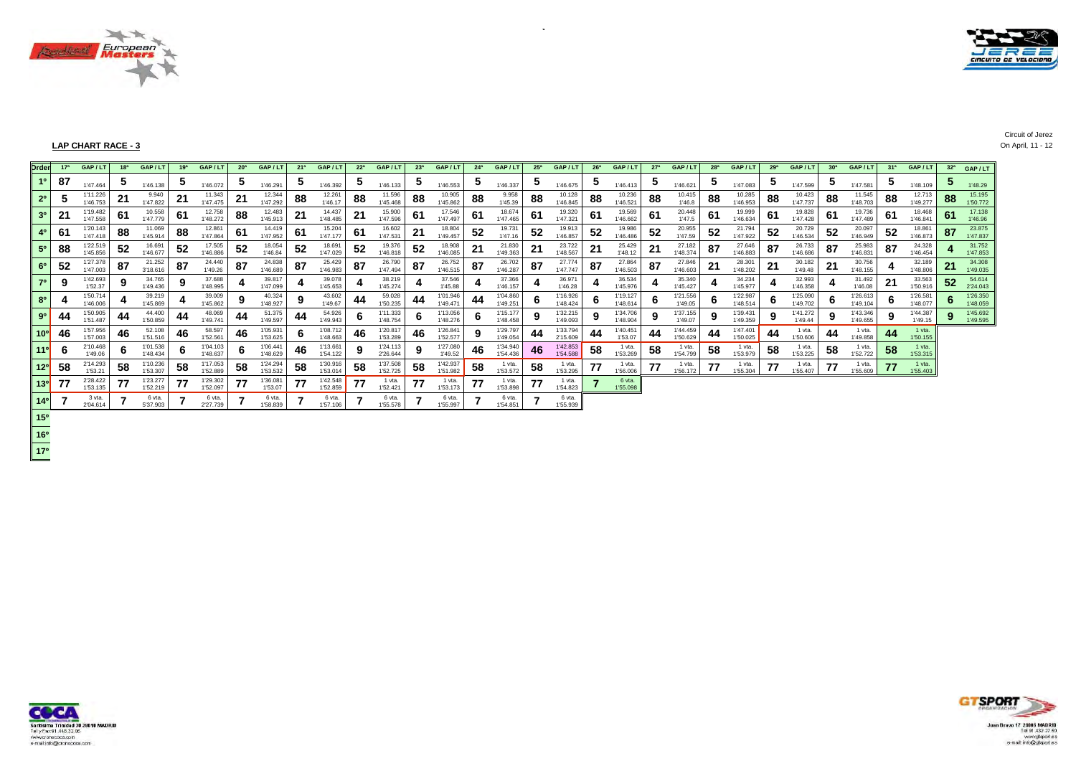



### **LAP CHART RACE - 3** On April, 11 - 12

| <b>Drden</b>    | 17 <sup>a</sup> | GAP/LT               |     | GAP/LT               | 1 <sup>q</sup> | GAP / LT             | 20 <sup>a</sup> | GAP/L                |                | GAP/L                | 22 <sup>a</sup> | GAP/LT               | 23 <sup>a</sup> | GAP/L1               | 24 <sup>a</sup> | GAP/LT               | 25 <sup>a</sup> | GAP/LT               |     | GAP/L                | 27 <sup>a</sup> | GAP/LT               | 28 <sup>a</sup> | GAP/L                | 29 <sup>a</sup> | GAP / LT             |    | GAP/LT               | 31 <sup>a</sup> | GAP/LT               | 32 <sup>a</sup> | GAP/LT               |
|-----------------|-----------------|----------------------|-----|----------------------|----------------|----------------------|-----------------|----------------------|----------------|----------------------|-----------------|----------------------|-----------------|----------------------|-----------------|----------------------|-----------------|----------------------|-----|----------------------|-----------------|----------------------|-----------------|----------------------|-----------------|----------------------|----|----------------------|-----------------|----------------------|-----------------|----------------------|
| 1 <sup>0</sup>  | 87              | 1'47.464             |     | 1'46.138             |                | 1'46.072             | IJ              | 1'46.291             |                | 1'46.392             | IJ              | 1'46.133             |                 | 1'46.553             |                 | 1'46.337             |                 | 1'46.675             |     | 1'46.413             |                 | 1'46.621             |                 | 1'47.083             |                 | 1'47.599             |    | 1'47.581             |                 | 1'48.109             |                 | 1'48.29              |
| 2 <sup>0</sup>  |                 | 1'11.226<br>1'46.753 | 21  | 9.940<br>1'47.822    | 21             | 11.343<br>1'47.475   | 21              | 12.344<br>1'47.292   | 88             | 12.261<br>1'46.17    | 88              | 11.596<br>1'45.468   | 88              | 10.905<br>1'45.862   | 88              | 9.958<br>1'45.39     | 88              | 10.128<br>1'46.845   | 88  | 10.236<br>1'46.521   | 88              | 10.415<br>1'46.8     | 88              | 10.285<br>1'46.953   | 88              | 10.423<br>1'47.737   | 00 | 11.545<br>1'48.703   | 88              | 12.713<br>1'49.277   | 88              | 15.195<br>1'50.772   |
| 3 <sup>0</sup>  | 21              | 1'19.482<br>1'47.558 | ъı  | 10.558<br>1'47.779   | 61             | 12.758<br>1'48.272   | 88              | 12.483<br>1'45.913   | 2 <sup>1</sup> | 14.437<br>1'48.485   | 21              | 15.900<br>1'47.596   | 61              | 17.546<br>1'47.497   | 61              | 18.674<br>1'47.465   | 61              | 19.320<br>1'47.321   | -61 | 19.569<br>1'46.662   | 61              | 20.448<br>1'47.5     | 61              | 19.999<br>1'46.634   | 61              | 19.828<br>1'47.428   | 61 | 19.736<br>1'47.489   | 61              | 18.468<br>1'46.841   | 61              | 17.138<br>1'46.96    |
| 4 <sup>0</sup>  | -61             | 1'20.143<br>1'47.418 | OO. | 11.069<br>1'45.914   | 88             | 12.861<br>1'47.864   | 61              | 14,419<br>1'47.952   | -61            | 15.204<br>1'47.177   | 61              | 16.602<br>1'47.531   |                 | 18.804<br>1'49.457   | 52              | 19.731<br>1'47.16    | 52              | 19.913<br>1'46.857   | -52 | 19.986<br>1'46.486   | 52              | 20.955<br>1'47.59    | 52              | 21.794<br>1'47.922   | 52              | 20.729<br>1'46.534   | 52 | 20.097<br>1'46.949   | 52              | 18.861<br>1'46.873   | 87              | 23.875<br>1'47.837   |
| 5 <sup>0</sup>  | -88             | 1'22.519<br>1'45.856 | 52  | 16.691<br>1'46.677   | 52             | 17.505<br>1'46.886   | -52             | 18.054<br>1'46.84    | 52             | 18.691<br>1'47.029   | 52              | 19.376<br>1'46.818   | 52              | 18.908<br>1'46.085   | 21              | 21.830<br>1'49.363   |                 | 23.722<br>1'48.567   | 21  | 25.429<br>1'48.12    | 21              | 27.182<br>1'48.374   | 87              | 27.646<br>1'46.883   | 87              | 26.733<br>1'46.686   | 01 | 25.983<br>1'46.831   | 87              | 24.328<br>1'46.454   |                 | 31.752<br>1'47.853   |
| 6 <sup>0</sup>  | 52              | 1'27.378<br>1'47.003 | 87  | 21.252<br>3'18.616   | 87             | 24.440<br>1'49.26    | 87              | 24.838<br>1'46.689   | 87             | 25.429<br>1'46.983   | 87              | 26.790<br>1'47.494   | 87              | 26.752<br>1'46.515   | 87              | 26.702<br>1'46.287   | 87              | 27.774<br>1'47.747   | -87 | 27.864<br>1'46.503   | 87              | 27.846<br>1'46.603   | 21              | 28.301<br>1'48.202   | 21              | 30.182<br>1'49.48    |    | 30.756<br>1'48.155   |                 | 32.189<br>1'48.806   |                 | 34.308<br>1'49.035   |
| $70^{\circ}$    | 9               | 1'42.693<br>1'52.37  |     | 34.765<br>1'49.436   |                | 37.688<br>1'48.995   |                 | 39.817<br>1'47.099   |                | 39.078<br>1'45.653   |                 | 38.219<br>1'45.274   |                 | 37.546<br>1'45.88    |                 | 37.366<br>1'46.157   |                 | 36.971<br>1'46.28    |     | 36.534<br>1'45.976   |                 | 35.340<br>1'45.427   |                 | 34.234<br>1'45.977   |                 | 32.993<br>1'46.358   |    | 31.492<br>1'46.08    | 21              | 33.563<br>1'50.916   | 52              | 54.614<br>2'24.043   |
| 8 <sup>0</sup>  |                 | 1'50.714<br>1'46.006 |     | 39.219<br>1'45.869   |                | 39.009<br>1'45.862   | 9               | 40.324<br>1'48.927   |                | 43.602<br>1'49.67    | 44              | 59.028<br>1'50.235   | -44             | 1'01.946<br>1'49.471 | 44              | 1'04.860<br>1'49.251 |                 | 1'16.926<br>1'48.424 |     | 1'19.127<br>1'48.614 |                 | 1'21.556<br>1'49.05  |                 | 1'22.987<br>1'48.514 | O               | 1'25.090<br>1'49.702 |    | 1'26.613<br>1'49.104 |                 | 1'26.581<br>1'48.077 |                 | 1'26.350<br>1'48.059 |
| 9 <sup>o</sup>  | 44              | 1'50.905<br>1'51.487 | 44  | 44,400<br>1'50.859   | 44             | 48.069<br>1'49.741   | 44              | 51.375<br>1'49.597   | 44             | 54.926<br>1'49.943   |                 | 1'11.333<br>1'48.754 |                 | 1'13.056<br>1'48.276 | O               | 1'15.177<br>1'48.458 |                 | 1'32.215<br>1'49.093 |     | 1'34.706<br>1'48.904 |                 | 1'37.155<br>1'49.07  |                 | 1'39.431<br>1'49.359 |                 | 1'41.272<br>1'49.44  |    | 1'43.346<br>1'49.655 |                 | 1'44.387<br>1'49.15  |                 | 1'45.692<br>1'49.595 |
| 10 <sup>o</sup> | -46             | 1'57.956<br>1'57.003 | 46  | 52.108<br>1'51.516   | 46             | 58.597<br>1'52.561   | 46              | 1'05.931<br>1'53.625 |                | 1'08.712<br>1'48.663 | 46              | 1'20.817<br>1'53.289 | 46              | 1'26.841<br>1'52.577 | 9               | 1'29.797<br>1'49.054 | 44              | 1'33.794<br>2'15.609 | 44  | 1'40.451<br>1'53.07  | 44              | 1'44.459<br>1'50.629 | 44              | 1'47.401<br>1'50.025 | 44              | 1 vta.<br>1'50.606   | 44 | 1 vta.<br>1'49.858   | 44              | 1 vta.<br>1'50.155   |                 |                      |
| 11 <sup>0</sup> | -6              | 2'10.468<br>1'49.06  |     | 1'01.538<br>1'48.434 |                | 1'04.103<br>1'48.637 | 6               | 1'06.441<br>1'48.629 | 46             | 1'13.661<br>1'54.122 | ื               | 1'24.113<br>2'26.644 |                 | 1'27.080<br>1'49.52  | 46              | 1'34.940<br>1'54.436 | 46              | 1'42.853<br>1'54.588 | 58  | 1 vta.<br>1'53,269   | 58              | 1 vta.<br>1'54.799   | 58              | 1 vta.<br>1'53.979   | -58             | 1 vta.<br>1'53.225   | 58 | 1 vta.<br>1'52.722   | 58              | 1 vta.<br>1'53.315   |                 |                      |
| 12 <sup>o</sup> | 58              | 2'14.293<br>1'53.21  | ೨୪  | 1'10.236<br>1'53.307 | 58             | 1'17.053<br>1'52.889 | 58              | 1'24.294<br>1'53.532 | 58             | 1'30.916<br>1'53.014 | 58              | 1'37.508<br>1'52.725 | 58              | 1'42.937<br>1'51.982 | 58              | 1 vta.<br>1'53.572   | 58              | 1 vta.<br>1'53.295   | 77  | 1 vta.<br>1'56,006   | 77              | 1 vta.<br>1'56.172   |                 | 1 vta.<br>1'55.304   |                 | 1 vta.<br>1'55.407   |    | 1 vta.<br>1'55.609   |                 | 1 vta.<br>1'55.403   |                 |                      |
| 13 <sup>0</sup> | 77              | 2'28.422<br>1'53.135 |     | 1'23.277<br>1'52.219 | 77             | 1'29.302<br>1'52.097 | 77              | 1'36.081<br>1'53.07  | 77             | 1'42.548<br>1'52.859 | 77              | 1 vta.<br>1'52.421   |                 | 1 vta.<br>1'53.173   | 77              | 1 vta.<br>1'53.898   | 77              | 1 vta.<br>1'54.823   |     | 6 vta.<br>1'55.098   |                 |                      |                 |                      |                 |                      |    |                      |                 |                      |                 |                      |
| 14 <sup>°</sup> |                 | 3 vta.<br>2'04.614   |     | 6 vta.<br>5'37.903   |                | 6 vta.<br>2'27.739   |                 | 6 vta.<br>1'58.839   |                | 6 vta.<br>1'57.106   |                 | 6 vta.<br>1'55.578   |                 | 6 vta.<br>1'55.997   |                 | 6 vta.<br>1'54.851   |                 | 6 vta.<br>1'55.939   |     |                      |                 |                      |                 |                      |                 |                      |    |                      |                 |                      |                 |                      |

 $C$ ircuit of Jerez

 $\mathcal{A}$ 

 **15º 16º**

 **17º**